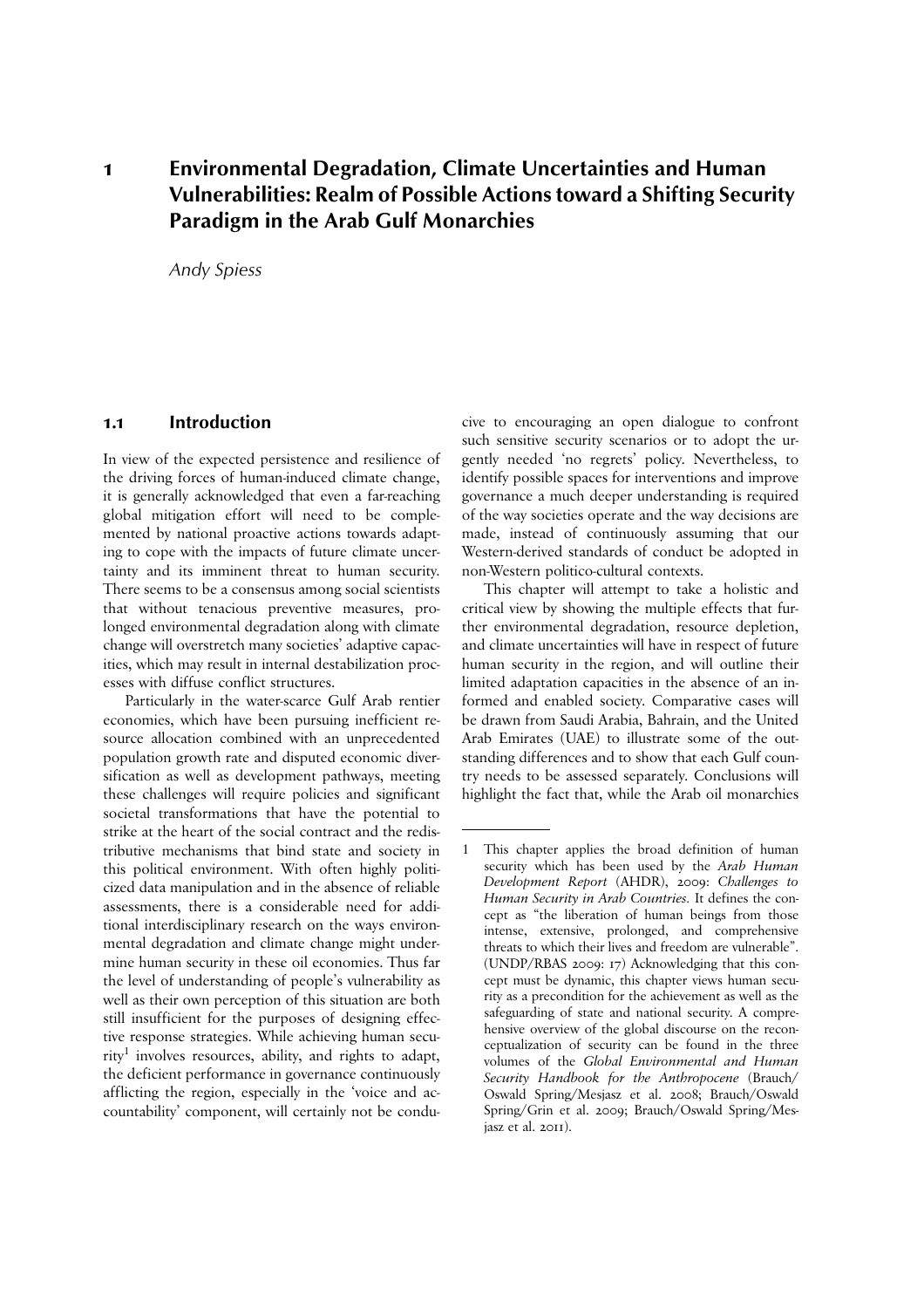# **1 Environmental Degradation, Climate Uncertainties and Human Vulnerabilities: Realm of Possible Actions toward a Shifting Security Paradigm in the Arab Gulf Monarchies**

*Andy Spiess*

## **1.1 Introduction**

In view of the expected persistence and resilience of the driving forces of human-induced climate change, it is generally acknowledged that even a far-reaching global mitigation effort will need to be complemented by national proactive actions towards adapting to cope with the impacts of future climate uncertainty and its imminent threat to human security. There seems to be a consensus among social scientists that without tenacious preventive measures, prolonged environmental degradation along with climate change will overstretch many societies' adaptive capacities, which may result in internal destabilization processes with diffuse conflict structures.

Particularly in the water-scarce Gulf Arab rentier economies, which have been pursuing inefficient resource allocation combined with an unprecedented population growth rate and disputed economic diversification as well as development pathways, meeting these challenges will require policies and significant societal transformations that have the potential to strike at the heart of the social contract and the redistributive mechanisms that bind state and society in this political environment. With often highly politicized data manipulation and in the absence of reliable assessments, there is a considerable need for additional interdisciplinary research on the ways environmental degradation and climate change might undermine human security in these oil economies. Thus far the level of understanding of people's vulnerability as well as their own perception of this situation are both still insufficient for the purposes of designing effective response strategies. While achieving human security<sup>1</sup> involves resources, ability, and rights to adapt, the deficient performance in governance continuously afflicting the region, especially in the 'voice and accountability' component, will certainly not be conducive to encouraging an open dialogue to confront such sensitive security scenarios or to adopt the urgently needed 'no regrets' policy. Nevertheless, to identify possible spaces for interventions and improve governance a much deeper understanding is required of the way societies operate and the way decisions are made, instead of continuously assuming that our Western-derived standards of conduct be adopted in non-Western politico-cultural contexts.

This chapter will attempt to take a holistic and critical view by showing the multiple effects that further environmental degradation, resource depletion, and climate uncertainties will have in respect of future human security in the region, and will outline their limited adaptation capacities in the absence of an informed and enabled society. Comparative cases will be drawn from Saudi Arabia, Bahrain, and the United Arab Emirates (UAE) to illustrate some of the outstanding differences and to show that each Gulf country needs to be assessed separately. Conclusions will highlight the fact that, while the Arab oil monarchies

<sup>1</sup> This chapter applies the broad definition of human security which has been used by the *Arab Human Development Report* (AHDR), 2009: *Challenges to Human Security in Arab Countries.* It defines the concept as "the liberation of human beings from those intense, extensive, prolonged, and comprehensive threats to which their lives and freedom are vulnerable". (UNDP/RBAS 2009: 17) Acknowledging that this concept must be dynamic, this chapter views human security as a precondition for the achievement as well as the safeguarding of state and national security. A comprehensive overview of the global discourse on the reconceptualization of security can be found in the three volumes of the *Global Environmental and Human Security Handbook for the Anthropocene* (Brauch/ Oswald Spring/Mesjasz et al. 2008; Brauch/Oswald Spring/Grin et al. 2009; Brauch/Oswald Spring/Mesjasz et al. 2011).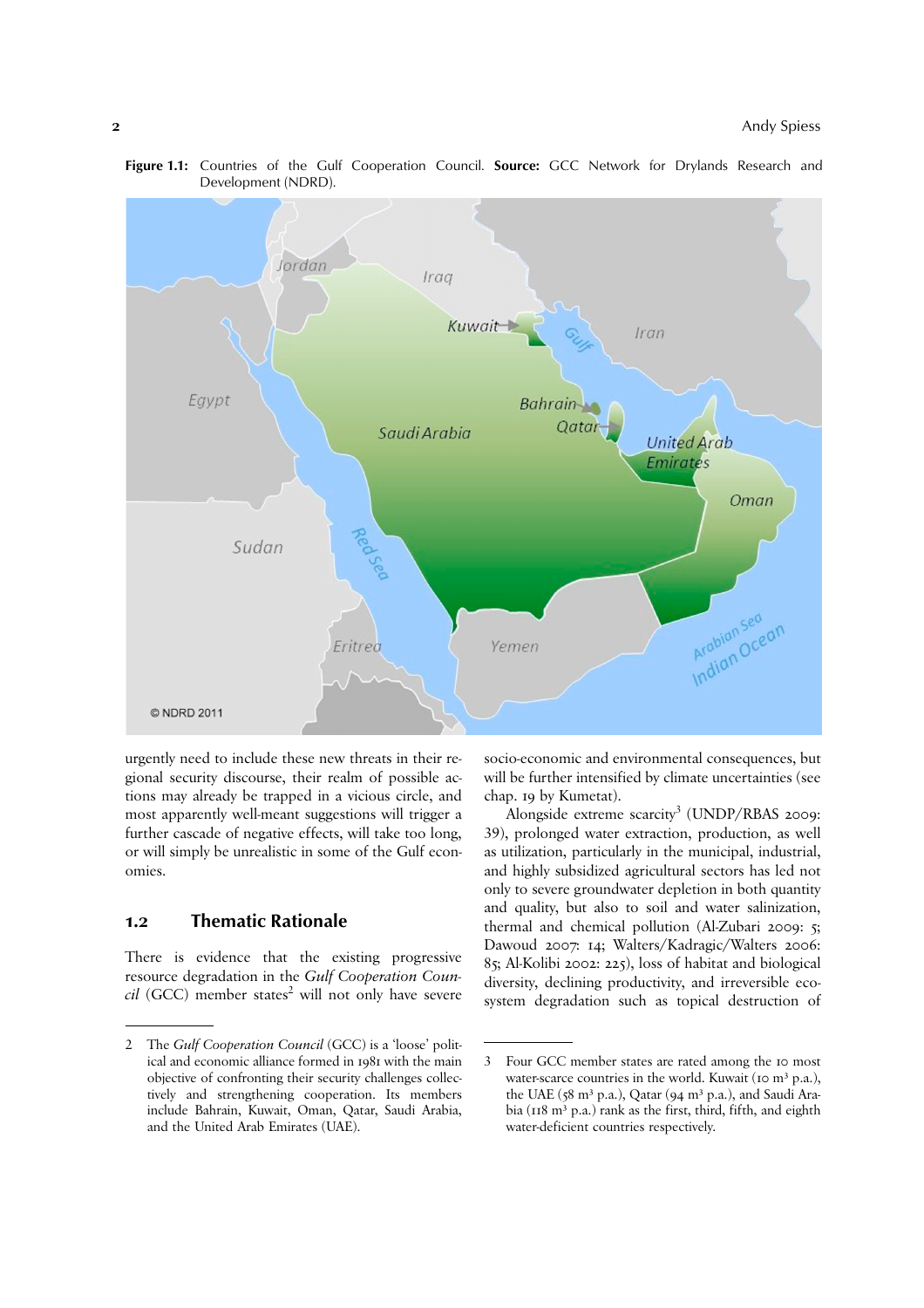

**Figure 1.1:** Countries of the Gulf Cooperation Council. **Source:** GCC Network for Drylands Research and Development (NDRD).

urgently need to include these new threats in their regional security discourse, their realm of possible actions may already be trapped in a vicious circle, and most apparently well-meant suggestions will trigger a further cascade of negative effects, will take too long, or will simply be unrealistic in some of the Gulf economies.

#### **1.2 Thematic Rationale**

There is evidence that the existing progressive resource degradation in the *Gulf Cooperation Coun-* $\text{ceil}$  (GCC) member states<sup>2</sup> will not only have severe socio-economic and environmental consequences, but will be further intensified by climate uncertainties (see chap. 19 by Kumetat).

Alongside extreme scarcity<sup>3</sup> (UNDP/RBAS 2009: 39), prolonged water extraction, production, as well as utilization, particularly in the municipal, industrial, and highly subsidized agricultural sectors has led not only to severe groundwater depletion in both quantity and quality, but also to soil and water salinization, thermal and chemical pollution (Al-Zubari 2009: 5; Dawoud 2007: 14; Walters/Kadragic/Walters 2006: 85; Al-Kolibi 2002: 225), loss of habitat and biological diversity, declining productivity, and irreversible ecosystem degradation such as topical destruction of

<sup>2</sup> The *Gulf Cooperation Council* (GCC) is a 'loose' political and economic alliance formed in 1981 with the main objective of confronting their security challenges collectively and strengthening cooperation. Its members include Bahrain, Kuwait, Oman, Qatar, Saudi Arabia, and the United Arab Emirates (UAE).

<sup>3</sup> Four GCC member states are rated among the 10 most water-scarce countries in the world. Kuwait (10 m<sup>3</sup> p.a.), the UAE (58 m<sup>3</sup> p.a.), Qatar (94 m<sup>3</sup> p.a.), and Saudi Arabia (118 m<sup>3</sup> p.a.) rank as the first, third, fifth, and eighth water-deficient countries respectively.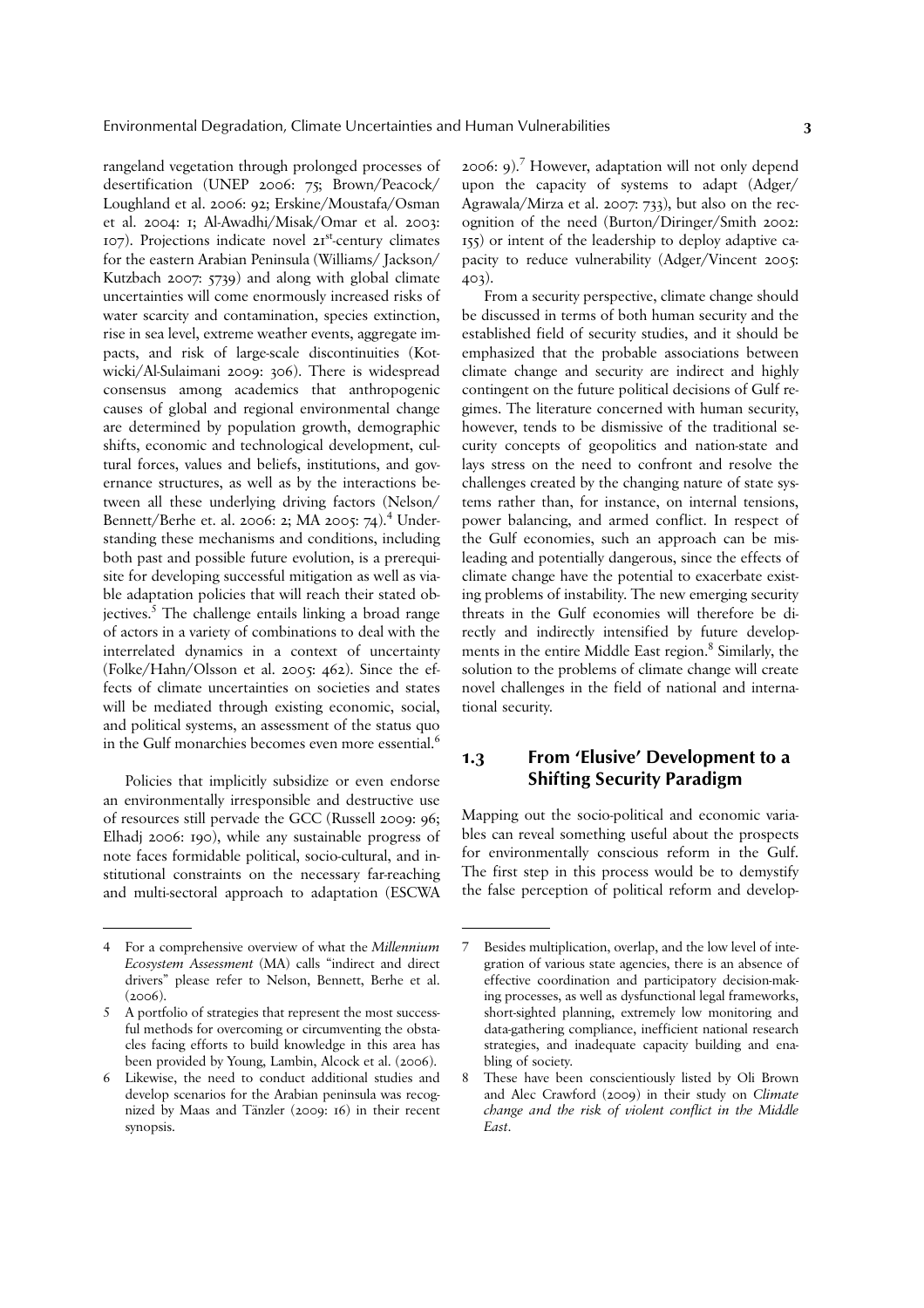rangeland vegetation through prolonged processes of desertification (UNEP 2006: 75; Brown/Peacock/ Loughland et al. 2006: 92; Erskine/Moustafa/Osman et al. 2004: 1; Al-Awadhi/Misak/Omar et al. 2003: 107). Projections indicate novel 21st-century climates for the eastern Arabian Peninsula (Williams/ Jackson/ Kutzbach 2007: 5739) and along with global climate uncertainties will come enormously increased risks of water scarcity and contamination, species extinction, rise in sea level, extreme weather events, aggregate impacts, and risk of large-scale discontinuities (Kotwicki/Al-Sulaimani 2009: 306). There is widespread consensus among academics that anthropogenic causes of global and regional environmental change are determined by population growth, demographic shifts, economic and technological development, cultural forces, values and beliefs, institutions, and governance structures, as well as by the interactions between all these underlying driving factors (Nelson/ Bennett/Berhe et. al. 2006: 2; MA 2005: 74).<sup>4</sup> Understanding these mechanisms and conditions, including both past and possible future evolution, is a prerequisite for developing successful mitigation as well as viable adaptation policies that will reach their stated objectives.<sup>5</sup> The challenge entails linking a broad range of actors in a variety of combinations to deal with the interrelated dynamics in a context of uncertainty (Folke/Hahn/Olsson et al. 2005: 462). Since the effects of climate uncertainties on societies and states will be mediated through existing economic, social, and political systems, an assessment of the status quo in the Gulf monarchies becomes even more essential.<sup>6</sup>

Policies that implicitly subsidize or even endorse an environmentally irresponsible and destructive use of resources still pervade the GCC (Russell 2009: 96; Elhadj 2006: 190), while any sustainable progress of note faces formidable political, socio-cultural, and institutional constraints on the necessary far-reaching and multi-sectoral approach to adaptation (ESCWA

2006: 9).7 However, adaptation will not only depend upon the capacity of systems to adapt (Adger/ Agrawala/Mirza et al. 2007: 733), but also on the recognition of the need (Burton/Diringer/Smith 2002: 155) or intent of the leadership to deploy adaptive capacity to reduce vulnerability (Adger/Vincent 2005: 403).

From a security perspective, climate change should be discussed in terms of both human security and the established field of security studies, and it should be emphasized that the probable associations between climate change and security are indirect and highly contingent on the future political decisions of Gulf regimes. The literature concerned with human security, however, tends to be dismissive of the traditional security concepts of geopolitics and nation-state and lays stress on the need to confront and resolve the challenges created by the changing nature of state systems rather than, for instance, on internal tensions, power balancing, and armed conflict. In respect of the Gulf economies, such an approach can be misleading and potentially dangerous, since the effects of climate change have the potential to exacerbate existing problems of instability. The new emerging security threats in the Gulf economies will therefore be directly and indirectly intensified by future developments in the entire Middle East region.<sup>8</sup> Similarly, the solution to the problems of climate change will create novel challenges in the field of national and international security.

# **1.3 From 'Elusive' Development to a Shifting Security Paradigm**

Mapping out the socio-political and economic variables can reveal something useful about the prospects for environmentally conscious reform in the Gulf. The first step in this process would be to demystify the false perception of political reform and develop-

<sup>4</sup> For a comprehensive overview of what the *Millennium Ecosystem Assessment* (MA) calls "indirect and direct drivers" please refer to Nelson, Bennett, Berhe et al.  $(2006).$ 

<sup>5</sup> A portfolio of strategies that represent the most successful methods for overcoming or circumventing the obstacles facing efforts to build knowledge in this area has been provided by Young, Lambin, Alcock et al. (2006).

Likewise, the need to conduct additional studies and develop scenarios for the Arabian peninsula was recognized by Maas and Tänzler (2009: 16) in their recent synopsis.

<sup>7</sup> Besides multiplication, overlap, and the low level of integration of various state agencies, there is an absence of effective coordination and participatory decision-making processes, as well as dysfunctional legal frameworks, short-sighted planning, extremely low monitoring and data-gathering compliance, inefficient national research strategies, and inadequate capacity building and enabling of society.

<sup>8</sup> These have been conscientiously listed by Oli Brown and Alec Crawford (2009) in their study on *Climate change and the risk of violent conflict in the Middle East*.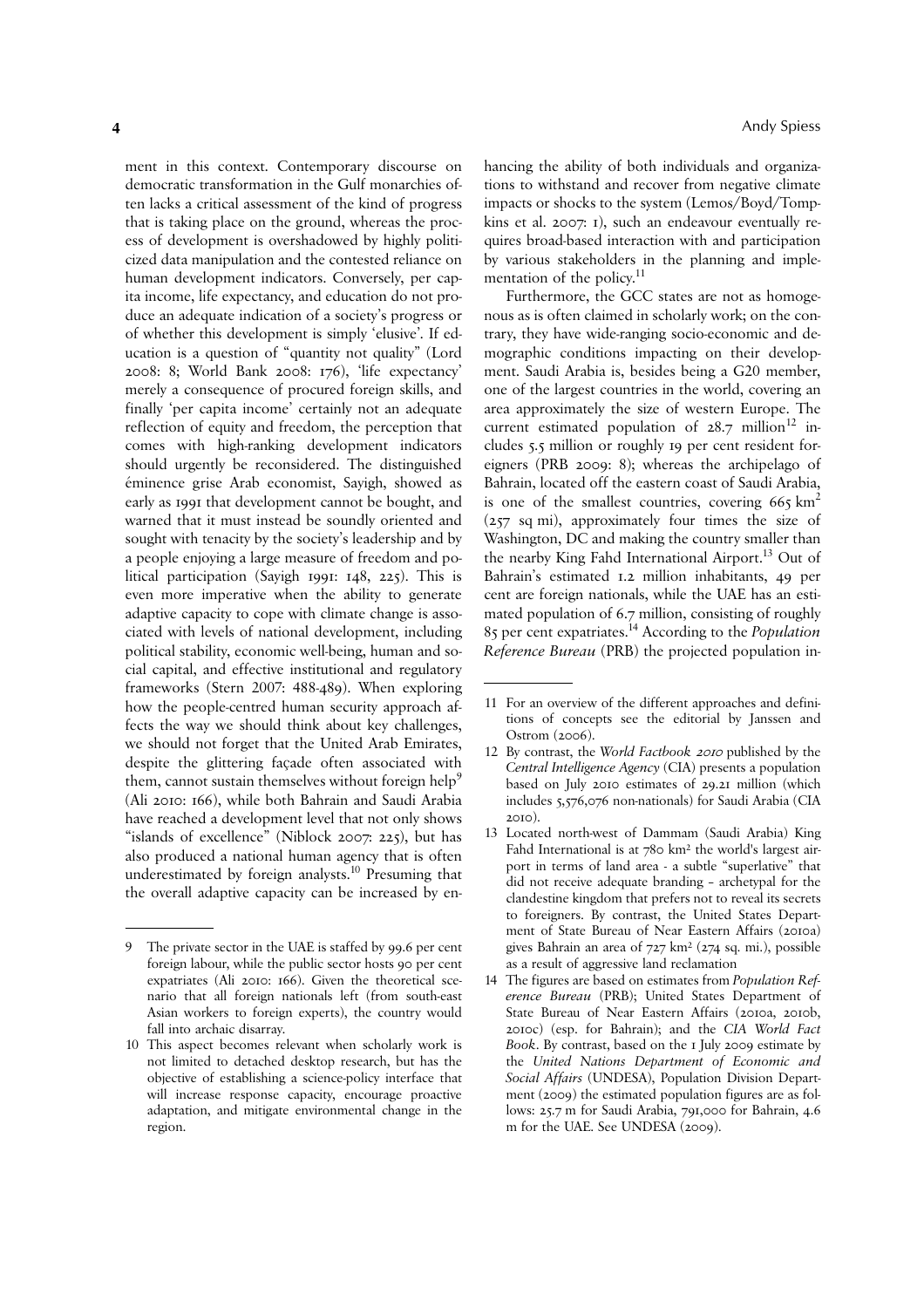ment in this context. Contemporary discourse on democratic transformation in the Gulf monarchies often lacks a critical assessment of the kind of progress that is taking place on the ground, whereas the process of development is overshadowed by highly politicized data manipulation and the contested reliance on human development indicators. Conversely, per capita income, life expectancy, and education do not produce an adequate indication of a society's progress or of whether this development is simply 'elusive'. If education is a question of "quantity not quality" (Lord 2008: 8; World Bank 2008: 176), 'life expectancy' merely a consequence of procured foreign skills, and finally 'per capita income' certainly not an adequate reflection of equity and freedom, the perception that comes with high-ranking development indicators should urgently be reconsidered. The distinguished éminence grise Arab economist, Sayigh, showed as early as 1991 that development cannot be bought, and warned that it must instead be soundly oriented and sought with tenacity by the society's leadership and by a people enjoying a large measure of freedom and political participation (Sayigh 1991: 148, 225). This is even more imperative when the ability to generate adaptive capacity to cope with climate change is associated with levels of national development, including political stability, economic well-being, human and social capital, and effective institutional and regulatory frameworks (Stern 2007: 488-489). When exploring how the people-centred human security approach affects the way we should think about key challenges, we should not forget that the United Arab Emirates, despite the glittering façade often associated with them, cannot sustain themselves without foreign help<sup>9</sup> (Ali 2010: 166), while both Bahrain and Saudi Arabia have reached a development level that not only shows "islands of excellence" (Niblock 2007: 225), but has also produced a national human agency that is often underestimated by foreign analysts.<sup>10</sup> Presuming that the overall adaptive capacity can be increased by enhancing the ability of both individuals and organizations to withstand and recover from negative climate impacts or shocks to the system (Lemos/Boyd/Tompkins et al. 2007: 1), such an endeavour eventually requires broad-based interaction with and participation by various stakeholders in the planning and implementation of the policy.<sup>11</sup>

Furthermore, the GCC states are not as homogenous as is often claimed in scholarly work; on the contrary, they have wide-ranging socio-economic and demographic conditions impacting on their development. Saudi Arabia is, besides being a G20 member, one of the largest countries in the world, covering an area approximately the size of western Europe. The current estimated population of  $28.7$  million<sup>12</sup> includes 5.5 million or roughly 19 per cent resident foreigners (PRB 2009: 8); whereas the archipelago of Bahrain, located off the eastern coast of Saudi Arabia, is one of the smallest countries, covering  $665 \text{ km}^2$ (257 sq mi), approximately four times the size of Washington, DC and making the country smaller than the nearby King Fahd International Airport.<sup>13</sup> Out of Bahrain's estimated 1.2 million inhabitants, 49 per cent are foreign nationals, while the UAE has an estimated population of 6.7 million, consisting of roughly 85 per cent expatriates.14 According to the *Population Reference Bureau* (PRB) the projected population in-

<sup>9</sup> The private sector in the UAE is staffed by 99.6 per cent foreign labour, while the public sector hosts 90 per cent expatriates (Ali 2010: 166). Given the theoretical scenario that all foreign nationals left (from south-east Asian workers to foreign experts), the country would fall into archaic disarray.

<sup>10</sup> This aspect becomes relevant when scholarly work is not limited to detached desktop research, but has the objective of establishing a science-policy interface that will increase response capacity, encourage proactive adaptation, and mitigate environmental change in the region.

<sup>11</sup> For an overview of the different approaches and definitions of concepts see the editorial by Janssen and Ostrom (2006).

<sup>12</sup> By contrast, the *World Factbook* 2010 published by the *Central Intelligence Agency* (CIA) presents a population based on July 2010 estimates of 29.21 million (which includes 5,576,076 non-nationals) for Saudi Arabia (CIA 2010).

<sup>13</sup> Located north-west of Dammam (Saudi Arabia) King Fahd International is at 780 km² the world's largest airport in terms of land area - a subtle "superlative" that did not receive adequate branding – archetypal for the clandestine kingdom that prefers not to reveal its secrets to foreigners. By contrast, the United States Department of State Bureau of Near Eastern Affairs (2010a) gives Bahrain an area of 727 km² (274 sq. mi.), possible as a result of aggressive land reclamation

<sup>14</sup> The figures are based on estimates from *Population Reference Bureau* (PRB); United States Department of State Bureau of Near Eastern Affairs (2010a, 2010b, 2010c) (esp. for Bahrain); and the *CIA World Fact Book*. By contrast, based on the 1 July 2009 estimate by the *United Nations Department of Economic and Social Affairs* (UNDESA), Population Division Department (2009) the estimated population figures are as follows: 25.7 m for Saudi Arabia, 791,000 for Bahrain, 4.6 m for the UAE. See UNDESA (2009).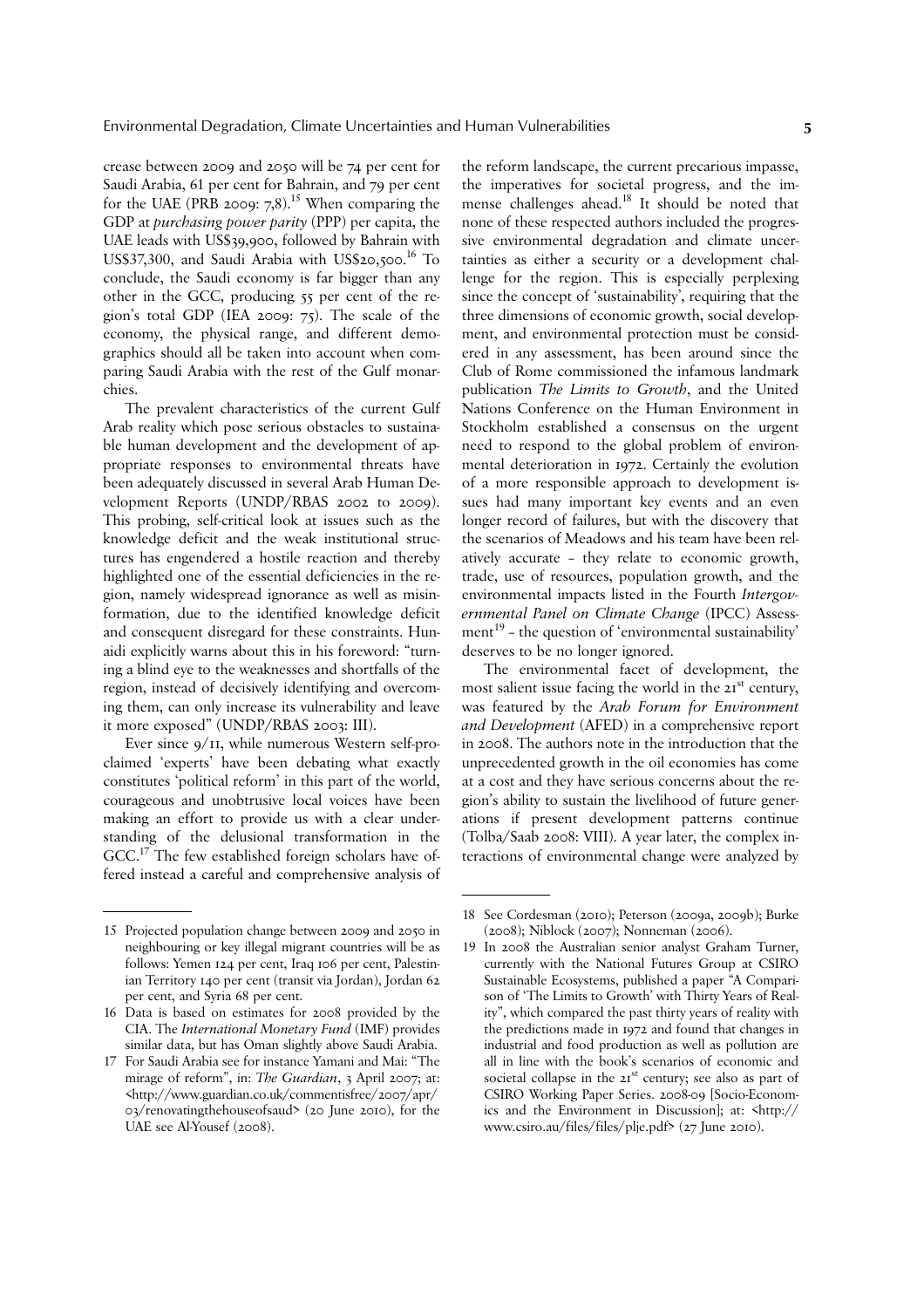crease between 2009 and 2050 will be 74 per cent for Saudi Arabia, 61 per cent for Bahrain, and 79 per cent for the UAE (PRB 2009:  $7,8$ ).<sup>15</sup> When comparing the GDP at *purchasing power parity* (PPP) per capita, the UAE leads with US\$39,900, followed by Bahrain with US\$37,300, and Saudi Arabia with US\$20,500. 16 To conclude, the Saudi economy is far bigger than any other in the GCC, producing 55 per cent of the region's total GDP (IEA 2009: 75). The scale of the economy, the physical range, and different demographics should all be taken into account when comparing Saudi Arabia with the rest of the Gulf monarchies.

The prevalent characteristics of the current Gulf Arab reality which pose serious obstacles to sustainable human development and the development of appropriate responses to environmental threats have been adequately discussed in several Arab Human Development Reports (UNDP/RBAS 2002 to 2009). This probing, self-critical look at issues such as the knowledge deficit and the weak institutional structures has engendered a hostile reaction and thereby highlighted one of the essential deficiencies in the region, namely widespread ignorance as well as misinformation, due to the identified knowledge deficit and consequent disregard for these constraints. Hunaidi explicitly warns about this in his foreword: "turning a blind eye to the weaknesses and shortfalls of the region, instead of decisively identifying and overcoming them, can only increase its vulnerability and leave it more exposed" (UNDP/RBAS 2003: III).

Ever since 9/11, while numerous Western self-proclaimed 'experts' have been debating what exactly constitutes 'political reform' in this part of the world, courageous and unobtrusive local voices have been making an effort to provide us with a clear understanding of the delusional transformation in the  $GCC<sup>17</sup>$ . The few established foreign scholars have offered instead a careful and comprehensive analysis of the reform landscape, the current precarious impasse, the imperatives for societal progress, and the immense challenges ahead.18 It should be noted that none of these respected authors included the progressive environmental degradation and climate uncertainties as either a security or a development challenge for the region. This is especially perplexing since the concept of 'sustainability', requiring that the three dimensions of economic growth, social development, and environmental protection must be considered in any assessment, has been around since the Club of Rome commissioned the infamous landmark publication *The Limits to Growth*, and the United Nations Conference on the Human Environment in Stockholm established a consensus on the urgent need to respond to the global problem of environmental deterioration in 1972. Certainly the evolution of a more responsible approach to development issues had many important key events and an even longer record of failures, but with the discovery that the scenarios of Meadows and his team have been relatively accurate – they relate to economic growth, trade, use of resources, population growth, and the environmental impacts listed in the Fourth *Intergovernmental Panel on Climate Change* (IPCC) Assessment<sup>19</sup> – the question of 'environmental sustainability' deserves to be no longer ignored.

The environmental facet of development, the most salient issue facing the world in the  $2I<sup>st</sup>$  century, was featured by the *Arab Forum for Environment and Development* (AFED) in a comprehensive report in 2008. The authors note in the introduction that the unprecedented growth in the oil economies has come at a cost and they have serious concerns about the region's ability to sustain the livelihood of future generations if present development patterns continue (Tolba/Saab 2008: VIII). A year later, the complex interactions of environmental change were analyzed by

<sup>15</sup> Projected population change between 2009 and 2050 in neighbouring or key illegal migrant countries will be as follows: Yemen 124 per cent, Iraq 106 per cent, Palestinian Territory 140 per cent (transit via Jordan), Jordan 62 per cent, and Syria 68 per cent.

<sup>16</sup> Data is based on estimates for 2008 provided by the CIA. The *International Monetary Fund* (IMF) provides similar data, but has Oman slightly above Saudi Arabia.

<sup>17</sup> For Saudi Arabia see for instance Yamani and Mai: "The mirage of reform", in: *The Guardian*, 3 April 2007; at: <http://www.guardian.co.uk/commentisfree/2007/apr/ 03/renovatingthehouseofsaud> (20 June 2010), for the UAE see Al-Yousef (2008).

<sup>18</sup> See Cordesman (2010); Peterson (2009a, 2009b); Burke (2008); Niblock (2007); Nonneman (2006).

<sup>19</sup> In 2008 the Australian senior analyst Graham Turner, currently with the National Futures Group at CSIRO Sustainable Ecosystems, published a paper "A Comparison of 'The Limits to Growth' with Thirty Years of Reality", which compared the past thirty years of reality with the predictions made in 1972 and found that changes in industrial and food production as well as pollution are all in line with the book's scenarios of economic and societal collapse in the 21<sup>st</sup> century; see also as part of CSIRO Working Paper Series. 2008-09 [Socio-Economics and the Environment in Discussion]; at: <http:// www.csiro.au/files/files/plje.pdf> (27 June 2010).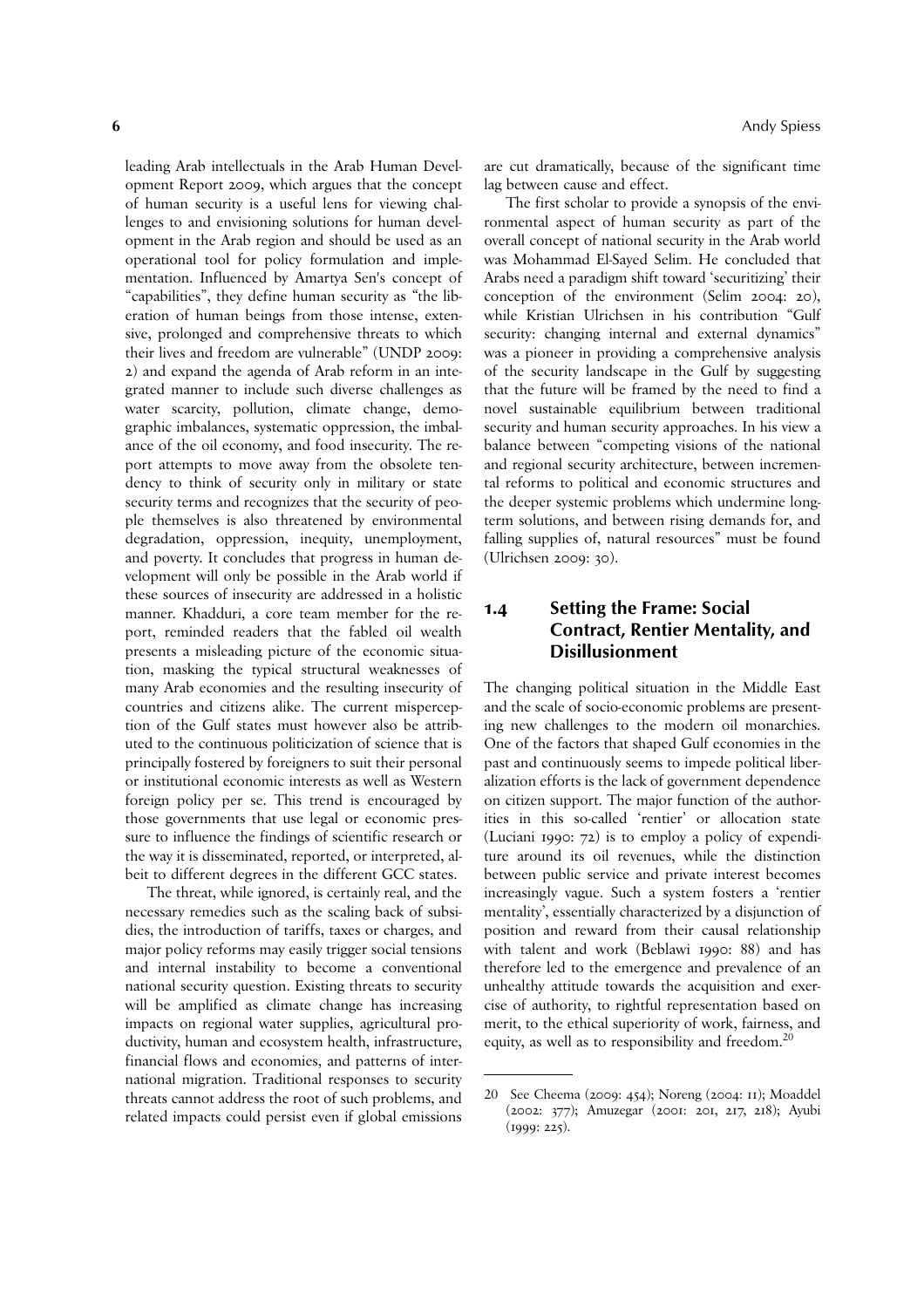leading Arab intellectuals in the Arab Human Development Report 2009, which argues that the concept of human security is a useful lens for viewing challenges to and envisioning solutions for human development in the Arab region and should be used as an operational tool for policy formulation and implementation. Influenced by Amartya Sen's concept of "capabilities", they define human security as *"*the liberation of human beings from those intense, extensive, prolonged and comprehensive threats to which their lives and freedom are vulnerable" (UNDP 2009: 2) and expand the agenda of Arab reform in an integrated manner to include such diverse challenges as water scarcity, pollution, climate change, demographic imbalances, systematic oppression, the imbalance of the oil economy, and food insecurity. The report attempts to move away from the obsolete tendency to think of security only in military or state security terms and recognizes that the security of people themselves is also threatened by environmental degradation, oppression, inequity, unemployment, and poverty. It concludes that progress in human development will only be possible in the Arab world if these sources of insecurity are addressed in a holistic manner. Khadduri, a core team member for the report, reminded readers that the fabled oil wealth presents a misleading picture of the economic situation, masking the typical structural weaknesses of many Arab economies and the resulting insecurity of countries and citizens alike. The current misperception of the Gulf states must however also be attributed to the continuous politicization of science that is principally fostered by foreigners to suit their personal or institutional economic interests as well as Western foreign policy per se. This trend is encouraged by those governments that use legal or economic pressure to influence the findings of scientific research or the way it is disseminated, reported, or interpreted, albeit to different degrees in the different GCC states.

The threat, while ignored, is certainly real, and the necessary remedies such as the scaling back of subsidies, the introduction of tariffs, taxes or charges, and major policy reforms may easily trigger social tensions and internal instability to become a conventional national security question. Existing threats to security will be amplified as climate change has increasing impacts on regional water supplies, agricultural productivity, human and ecosystem health, infrastructure, financial flows and economies, and patterns of international migration. Traditional responses to security threats cannot address the root of such problems, and related impacts could persist even if global emissions are cut dramatically, because of the significant time lag between cause and effect.

The first scholar to provide a synopsis of the environmental aspect of human security as part of the overall concept of national security in the Arab world was Mohammad El-Sayed Selim. He concluded that Arabs need a paradigm shift toward 'securitizing' their conception of the environment (Selim 2004: 20), while Kristian Ulrichsen in his contribution "Gulf security: changing internal and external dynamics" was a pioneer in providing a comprehensive analysis of the security landscape in the Gulf by suggesting that the future will be framed by the need to find a novel sustainable equilibrium between traditional security and human security approaches. In his view a balance between "competing visions of the national and regional security architecture, between incremental reforms to political and economic structures and the deeper systemic problems which undermine longterm solutions, and between rising demands for, and falling supplies of, natural resources" must be found (Ulrichsen 2009: 30).

# **1.4 Setting the Frame: Social Contract, Rentier Mentality, and Disillusionment**

The changing political situation in the Middle East and the scale of socio-economic problems are presenting new challenges to the modern oil monarchies. One of the factors that shaped Gulf economies in the past and continuously seems to impede political liberalization efforts is the lack of government dependence on citizen support. The major function of the authorities in this so-called 'rentier' or allocation state (Luciani 1990: 72) is to employ a policy of expenditure around its oil revenues, while the distinction between public service and private interest becomes increasingly vague. Such a system fosters a 'rentier mentality', essentially characterized by a disjunction of position and reward from their causal relationship with talent and work (Beblawi 1990: 88) and has therefore led to the emergence and prevalence of an unhealthy attitude towards the acquisition and exercise of authority, to rightful representation based on merit, to the ethical superiority of work, fairness, and equity, as well as to responsibility and freedom. $^{20}$ 

<sup>20</sup> See Cheema (2009: 454); Noreng (2004: 11); Moaddel (2002: 377); Amuzegar (2001: 201, 217, 218); Ayubi (1999: 225).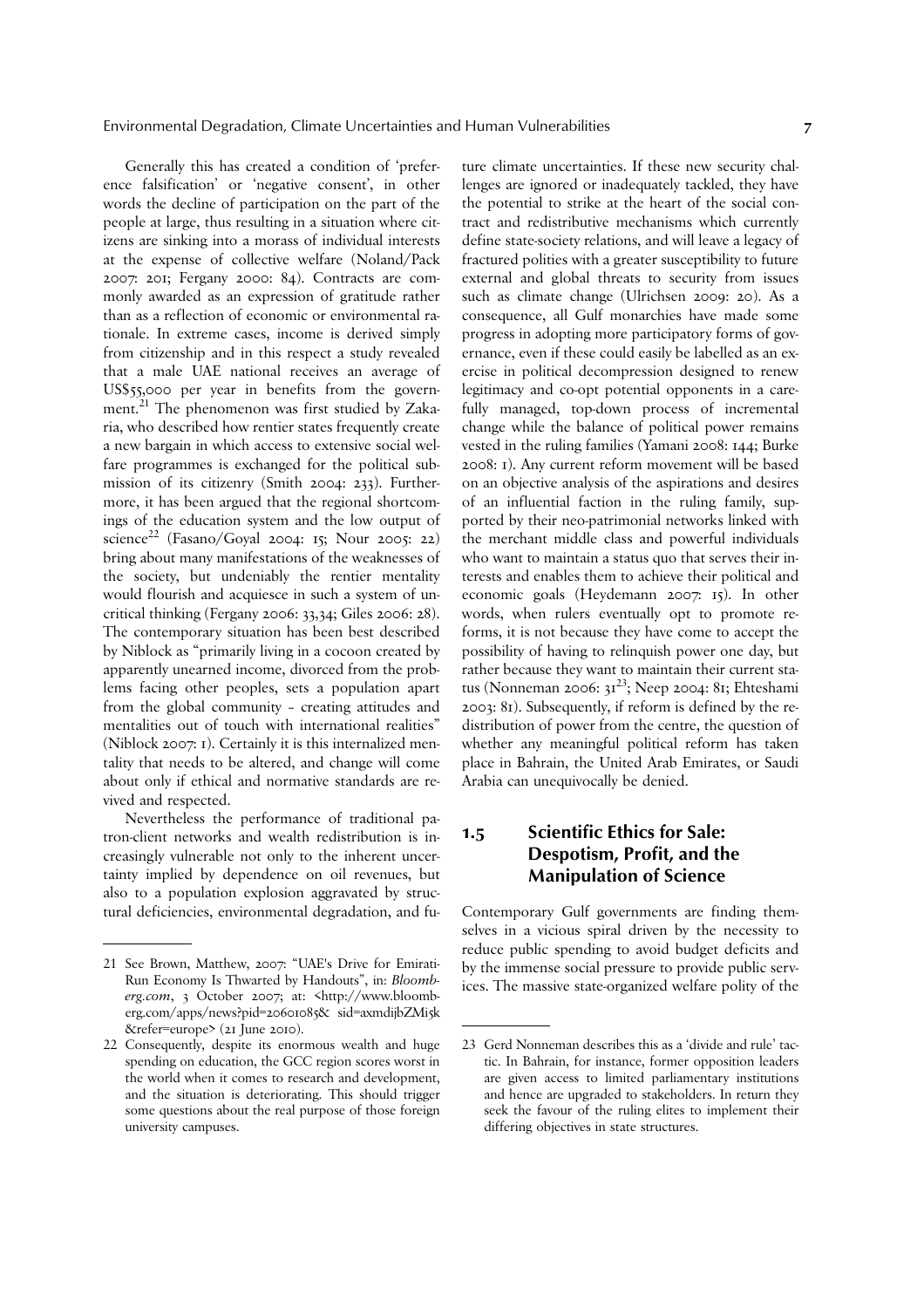Generally this has created a condition of 'preference falsification' or 'negative consent', in other words the decline of participation on the part of the people at large, thus resulting in a situation where citizens are sinking into a morass of individual interests at the expense of collective welfare (Noland/Pack 2007: 201; Fergany 2000: 84). Contracts are commonly awarded as an expression of gratitude rather than as a reflection of economic or environmental rationale. In extreme cases, income is derived simply from citizenship and in this respect a study revealed that a male UAE national receives an average of US\$55,000 per year in benefits from the government.<sup>21</sup> The phenomenon was first studied by Zakaria, who described how rentier states frequently create a new bargain in which access to extensive social welfare programmes is exchanged for the political submission of its citizenry (Smith 2004: 233). Furthermore, it has been argued that the regional shortcomings of the education system and the low output of science<sup>22</sup> (Fasano/Goyal 2004: 15; Nour 2005: 22) bring about many manifestations of the weaknesses of the society, but undeniably the rentier mentality would flourish and acquiesce in such a system of uncritical thinking (Fergany 2006: 33,34; Giles 2006: 28). The contemporary situation has been best described by Niblock as "primarily living in a cocoon created by apparently unearned income, divorced from the problems facing other peoples, sets a population apart from the global community – creating attitudes and mentalities out of touch with international realities" (Niblock 2007: 1). Certainly it is this internalized mentality that needs to be altered, and change will come about only if ethical and normative standards are revived and respected.

Nevertheless the performance of traditional patron-client networks and wealth redistribution is increasingly vulnerable not only to the inherent uncertainty implied by dependence on oil revenues, but also to a population explosion aggravated by structural deficiencies, environmental degradation, and future climate uncertainties. If these new security challenges are ignored or inadequately tackled, they have the potential to strike at the heart of the social contract and redistributive mechanisms which currently define state-society relations, and will leave a legacy of fractured polities with a greater susceptibility to future external and global threats to security from issues such as climate change (Ulrichsen 2009: 20). As a consequence, all Gulf monarchies have made some progress in adopting more participatory forms of governance, even if these could easily be labelled as an exercise in political decompression designed to renew legitimacy and co-opt potential opponents in a carefully managed, top-down process of incremental change while the balance of political power remains vested in the ruling families (Yamani 2008: 144; Burke 2008: 1). Any current reform movement will be based on an objective analysis of the aspirations and desires of an influential faction in the ruling family, supported by their neo-patrimonial networks linked with the merchant middle class and powerful individuals who want to maintain a status quo that serves their interests and enables them to achieve their political and economic goals (Heydemann 2007: 15). In other words, when rulers eventually opt to promote reforms, it is not because they have come to accept the possibility of having to relinquish power one day, but rather because they want to maintain their current status (Nonneman 2006:  $3I^{23}$ ; Neep 2004: 81; Ehteshami 2003: 81). Subsequently, if reform is defined by the redistribution of power from the centre, the question of whether any meaningful political reform has taken place in Bahrain, the United Arab Emirates, or Saudi Arabia can unequivocally be denied.

# **1.5 Scientific Ethics for Sale: Despotism, Profit, and the Manipulation of Science**

Contemporary Gulf governments are finding themselves in a vicious spiral driven by the necessity to reduce public spending to avoid budget deficits and by the immense social pressure to provide public services. The massive state-organized welfare polity of the

<sup>21</sup> See Brown, Matthew, 2007: "UAE's Drive for Emirati-Run Economy Is Thwarted by Handouts", in: *Bloomberg.com*, 3 October 2007; at: <http://www.bloomberg.com/apps/news?pid=20601085& sid=axmdijbZMi5k &refer=europe> (21 June 2010).

<sup>22</sup> Consequently, despite its enormous wealth and huge spending on education, the GCC region scores worst in the world when it comes to research and development, and the situation is deteriorating. This should trigger some questions about the real purpose of those foreign university campuses.

<sup>23</sup> Gerd Nonneman describes this as a 'divide and rule' tactic. In Bahrain, for instance, former opposition leaders are given access to limited parliamentary institutions and hence are upgraded to stakeholders. In return they seek the favour of the ruling elites to implement their differing objectives in state structures.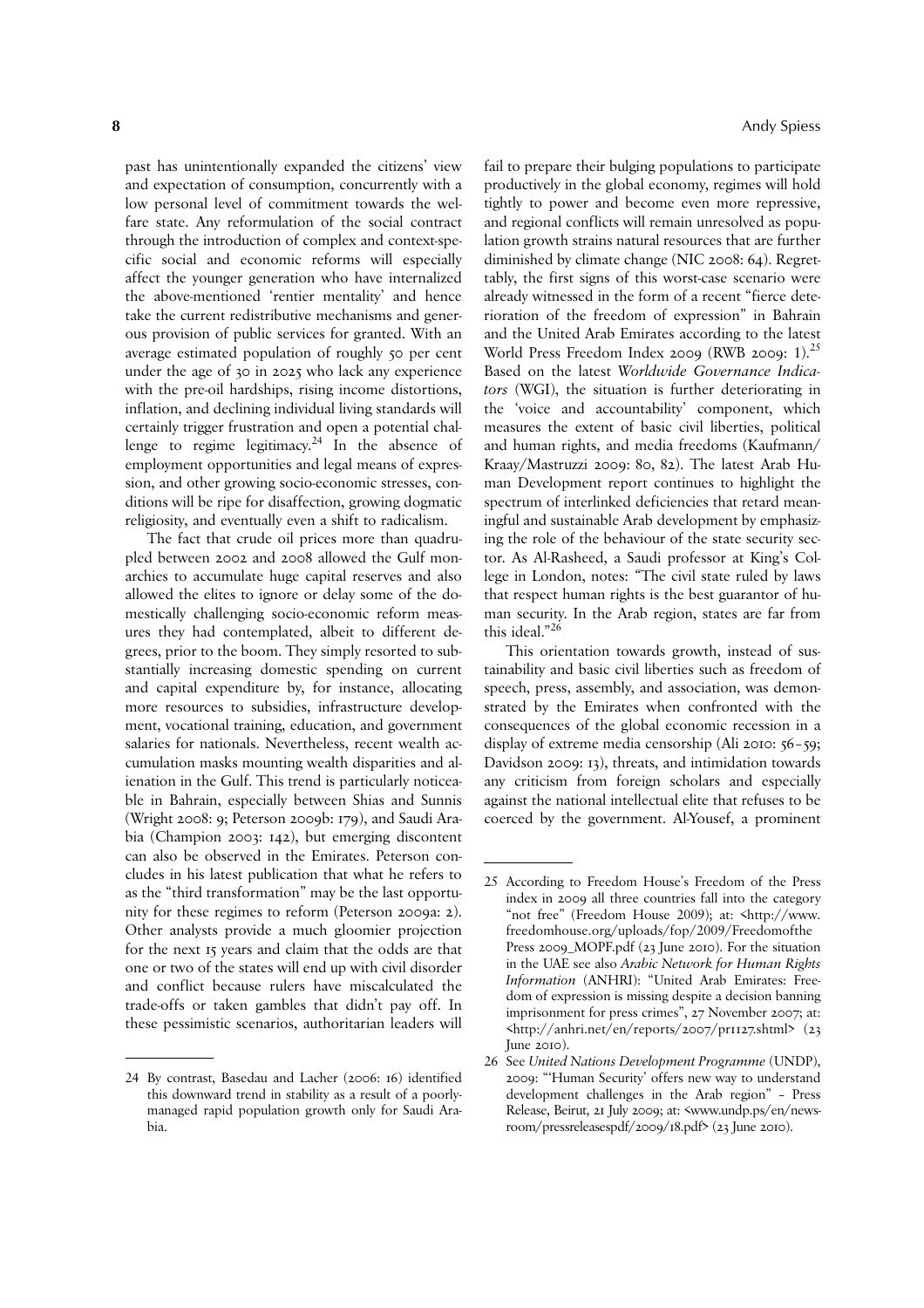past has unintentionally expanded the citizens' view and expectation of consumption, concurrently with a low personal level of commitment towards the welfare state. Any reformulation of the social contract through the introduction of complex and context-specific social and economic reforms will especially affect the younger generation who have internalized the above-mentioned 'rentier mentality' and hence take the current redistributive mechanisms and generous provision of public services for granted. With an average estimated population of roughly 50 per cent under the age of 30 in 2025 who lack any experience with the pre-oil hardships, rising income distortions, inflation, and declining individual living standards will certainly trigger frustration and open a potential challenge to regime legitimacy.<sup>24</sup> In the absence of employment opportunities and legal means of expression, and other growing socio-economic stresses, conditions will be ripe for disaffection, growing dogmatic religiosity, and eventually even a shift to radicalism.

The fact that crude oil prices more than quadrupled between 2002 and 2008 allowed the Gulf monarchies to accumulate huge capital reserves and also allowed the elites to ignore or delay some of the domestically challenging socio-economic reform measures they had contemplated, albeit to different degrees, prior to the boom. They simply resorted to substantially increasing domestic spending on current and capital expenditure by, for instance, allocating more resources to subsidies, infrastructure development, vocational training, education, and government salaries for nationals. Nevertheless, recent wealth accumulation masks mounting wealth disparities and alienation in the Gulf. This trend is particularly noticeable in Bahrain, especially between Shias and Sunnis (Wright 2008: 9; Peterson 2009b: 179), and Saudi Arabia (Champion 2003: 142), but emerging discontent can also be observed in the Emirates. Peterson concludes in his latest publication that what he refers to as the "third transformation" may be the last opportunity for these regimes to reform (Peterson 2009a: 2). Other analysts provide a much gloomier projection for the next 15 years and claim that the odds are that one or two of the states will end up with civil disorder and conflict because rulers have miscalculated the trade-offs or taken gambles that didn't pay off. In these pessimistic scenarios, authoritarian leaders will

24 By contrast, Basedau and Lacher (2006: 16) identified this downward trend in stability as a result of a poorlymanaged rapid population growth only for Saudi Arabia.

fail to prepare their bulging populations to participate productively in the global economy, regimes will hold tightly to power and become even more repressive, and regional conflicts will remain unresolved as population growth strains natural resources that are further diminished by climate change (NIC 2008: 64). Regrettably, the first signs of this worst-case scenario were already witnessed in the form of a recent "fierce deterioration of the freedom of expression" in Bahrain and the United Arab Emirates according to the latest World Press Freedom Index 2009 (RWB 2009: 1).<sup>25</sup> Based on the latest *Worldwide Governance Indicators* (WGI), the situation is further deteriorating in the 'voice and accountability' component, which measures the extent of basic civil liberties, political and human rights, and media freedoms (Kaufmann/ Kraay/Mastruzzi 2009: 80, 82). The latest Arab Human Development report continues to highlight the spectrum of interlinked deficiencies that retard meaningful and sustainable Arab development by emphasizing the role of the behaviour of the state security sector. As Al-Rasheed, a Saudi professor at King's College in London, notes: *"*The civil state ruled by laws that respect human rights is the best guarantor of human security. In the Arab region, states are far from this ideal."<sup>26</sup>

This orientation towards growth, instead of sustainability and basic civil liberties such as freedom of speech, press, assembly, and association, was demonstrated by the Emirates when confronted with the consequences of the global economic recession in a display of extreme media censorship (Ali 2010: 56 – 59; Davidson 2009: 13), threats, and intimidation towards any criticism from foreign scholars and especially against the national intellectual elite that refuses to be coerced by the government. Al-Yousef, a prominent

<sup>25</sup> According to Freedom House's Freedom of the Press index in 2009 all three countries fall into the category "not free" (Freedom House 2009); at: <http://www. freedomhouse.org/uploads/fop/2009/Freedomofthe Press 2009 MOPF.pdf (23 June 2010). For the situation in the UAE see also *Arabic Network for Human Rights Information* (ANHRI): "United Arab Emirates: Freedom of expression is missing despite a decision banning imprisonment for press crimes", 27 November 2007; at: <http://anhri.net/en/reports/2007/pr1127.shtml> (23 June 2010).

<sup>26</sup> See *United Nations Development Programme* (UNDP), 2009: "'Human Security' offers new way to understand development challenges in the Arab region" – Press Release, Beirut, 21 July 2009; at: <www.undp.ps/en/newsroom/pressreleasespdf/2009/18.pdf> (23 June 2010).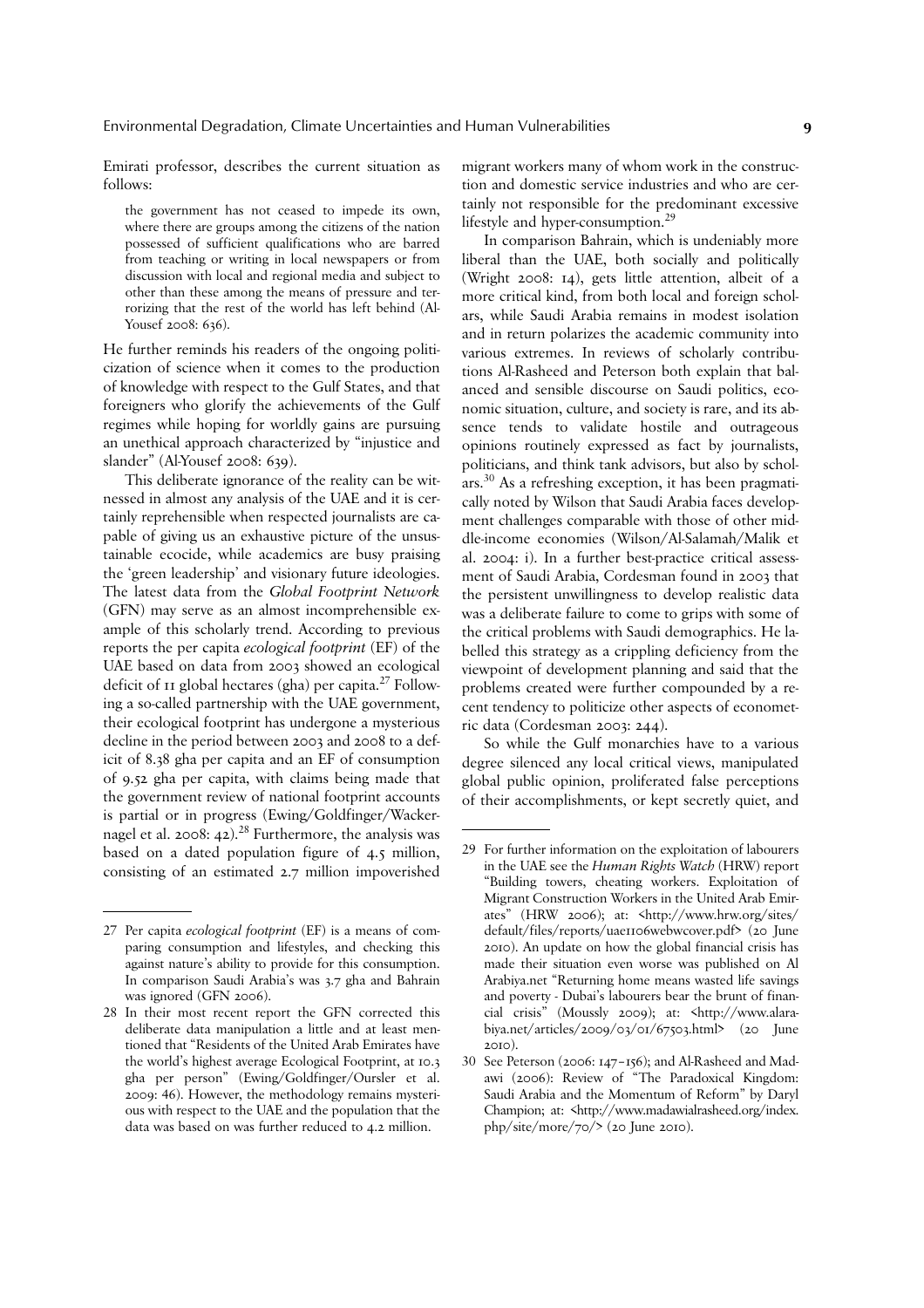Emirati professor, describes the current situation as follows:

the government has not ceased to impede its own, where there are groups among the citizens of the nation possessed of sufficient qualifications who are barred from teaching or writing in local newspapers or from discussion with local and regional media and subject to other than these among the means of pressure and terrorizing that the rest of the world has left behind (Al-Yousef 2008: 636).

He further reminds his readers of the ongoing politicization of science when it comes to the production of knowledge with respect to the Gulf States, and that foreigners who glorify the achievements of the Gulf regimes while hoping for worldly gains are pursuing an unethical approach characterized by "injustice and slander" (Al-Yousef 2008: 639).

This deliberate ignorance of the reality can be witnessed in almost any analysis of the UAE and it is certainly reprehensible when respected journalists are capable of giving us an exhaustive picture of the unsustainable ecocide, while academics are busy praising the 'green leadership' and visionary future ideologies. The latest data from the *Global Footprint Network* (GFN) may serve as an almost incomprehensible example of this scholarly trend. According to previous reports the per capita *ecological footprint* (EF) of the UAE based on data from 2003 showed an ecological deficit of 11 global hectares (gha) per capita.<sup>27</sup> Following a so-called partnership with the UAE government, their ecological footprint has undergone a mysterious decline in the period between 2003 and 2008 to a deficit of 8.38 gha per capita and an EF of consumption of 9.52 gha per capita, with claims being made that the government review of national footprint accounts is partial or in progress (Ewing/Goldfinger/Wackernagel et al. 2008:  $42$ ).<sup>28</sup> Furthermore, the analysis was based on a dated population figure of 4.5 million, consisting of an estimated 2.7 million impoverished migrant workers many of whom work in the construction and domestic service industries and who are certainly not responsible for the predominant excessive lifestyle and hyper-consumption.<sup>29</sup>

In comparison Bahrain, which is undeniably more liberal than the UAE, both socially and politically (Wright 2008: 14), gets little attention, albeit of a more critical kind, from both local and foreign scholars, while Saudi Arabia remains in modest isolation and in return polarizes the academic community into various extremes. In reviews of scholarly contributions Al-Rasheed and Peterson both explain that balanced and sensible discourse on Saudi politics, economic situation, culture, and society is rare, and its absence tends to validate hostile and outrageous opinions routinely expressed as fact by journalists, politicians, and think tank advisors, but also by scholars.30 As a refreshing exception, it has been pragmatically noted by Wilson that Saudi Arabia faces development challenges comparable with those of other middle-income economies (Wilson/Al-Salamah/Malik et al. 2004: i). In a further best-practice critical assessment of Saudi Arabia, Cordesman found in 2003 that the persistent unwillingness to develop realistic data was a deliberate failure to come to grips with some of the critical problems with Saudi demographics. He labelled this strategy as a crippling deficiency from the viewpoint of development planning and said that the problems created were further compounded by a recent tendency to politicize other aspects of econometric data (Cordesman 2003: 244).

So while the Gulf monarchies have to a various degree silenced any local critical views, manipulated global public opinion, proliferated false perceptions of their accomplishments, or kept secretly quiet, and

<sup>27</sup> Per capita *ecological footprint* (EF) is a means of comparing consumption and lifestyles, and checking this against nature's ability to provide for this consumption. In comparison Saudi Arabia's was 3.7 gha and Bahrain was ignored (GFN 2006).

<sup>28</sup> In their most recent report the GFN corrected this deliberate data manipulation a little and at least mentioned that "Residents of the United Arab Emirates have the world's highest average Ecological Footprint, at 10.3 gha per person" (Ewing/Goldfinger/Oursler et al. 2009: 46). However, the methodology remains mysterious with respect to the UAE and the population that the data was based on was further reduced to 4.2 million.

<sup>29</sup> For further information on the exploitation of labourers in the UAE see the *Human Rights Watch* (HRW) report "Building towers, cheating workers. Exploitation of Migrant Construction Workers in the United Arab Emirates" (HRW 2006); at: <http://www.hrw.org/sites/ default/files/reports/uae1106webwcover.pdf> (20 June 2010). An update on how the global financial crisis has made their situation even worse was published on Al Arabiya.net "Returning home means wasted life savings and poverty - Dubai's labourers bear the brunt of financial crisis" (Moussly 2009); at: <http://www.alarabiya.net/articles/2009/03/01/67503.html> (20 June 2010).

<sup>30</sup> See Peterson (2006: 147 – 156); and Al-Rasheed and Madawi (2006): Review of "The Paradoxical Kingdom: Saudi Arabia and the Momentum of Reform" by Daryl Champion; at: <http://www.madawialrasheed.org/index. php/site/more/70/> (20 June 2010).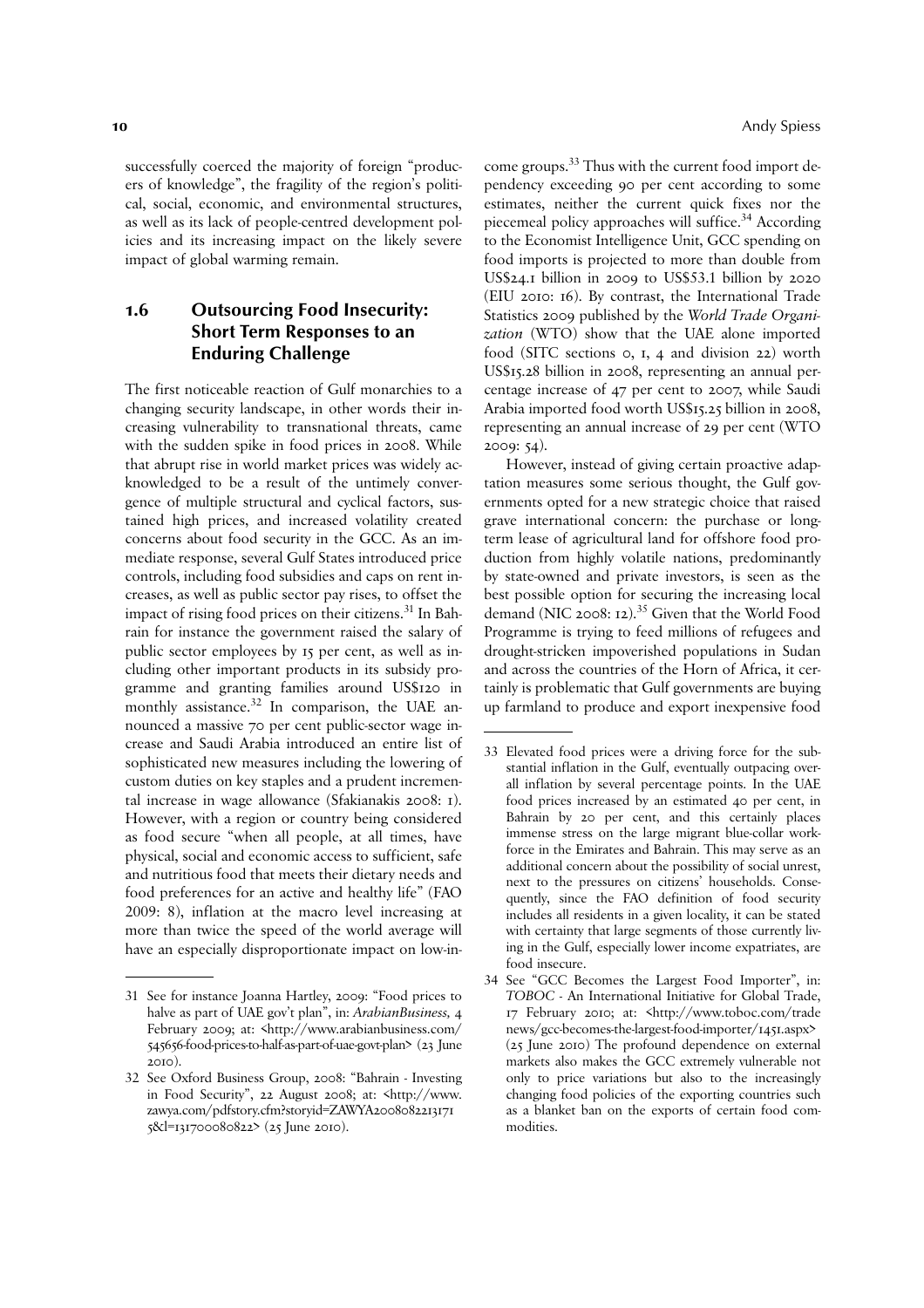**10** Andy Spiess

successfully coerced the majority of foreign "producers of knowledge", the fragility of the region's political, social, economic, and environmental structures, as well as its lack of people-centred development policies and its increasing impact on the likely severe impact of global warming remain.

# **1.6 Outsourcing Food Insecurity: Short Term Responses to an Enduring Challenge**

The first noticeable reaction of Gulf monarchies to a changing security landscape, in other words their increasing vulnerability to transnational threats, came with the sudden spike in food prices in 2008. While that abrupt rise in world market prices was widely acknowledged to be a result of the untimely convergence of multiple structural and cyclical factors, sustained high prices, and increased volatility created concerns about food security in the GCC. As an immediate response, several Gulf States introduced price controls, including food subsidies and caps on rent increases, as well as public sector pay rises, to offset the impact of rising food prices on their citizens. $31$  In Bahrain for instance the government raised the salary of public sector employees by 15 per cent, as well as including other important products in its subsidy programme and granting families around US\$120 in monthly assistance.<sup>32</sup> In comparison, the UAE announced a massive 70 per cent public-sector wage increase and Saudi Arabia introduced an entire list of sophisticated new measures including the lowering of custom duties on key staples and a prudent incremental increase in wage allowance (Sfakianakis 2008: 1). However, with a region or country being considered as food secure "when all people, at all times, have physical, social and economic access to sufficient, safe and nutritious food that meets their dietary needs and food preferences for an active and healthy life" (FAO 2009: 8), inflation at the macro level increasing at more than twice the speed of the world average will have an especially disproportionate impact on low-income groups.33 Thus with the current food import dependency exceeding 90 per cent according to some estimates, neither the current quick fixes nor the piecemeal policy approaches will suffice.<sup>34</sup> According to the Economist Intelligence Unit, GCC spending on food imports is projected to more than double from US\$24.1 billion in 2009 to US\$53.1 billion by 2020 (EIU 2010: 16). By contrast, the International Trade Statistics 2009 published by the *World Trade Organization* (WTO) show that the UAE alone imported food (SITC sections 0, 1, 4 and division 22) worth US\$15.28 billion in 2008, representing an annual percentage increase of 47 per cent to 2007, while Saudi Arabia imported food worth US\$15.25 billion in 2008, representing an annual increase of 29 per cent (WTO 2009: 54).

However, instead of giving certain proactive adaptation measures some serious thought, the Gulf governments opted for a new strategic choice that raised grave international concern: the purchase or longterm lease of agricultural land for offshore food production from highly volatile nations, predominantly by state-owned and private investors, is seen as the best possible option for securing the increasing local demand (NIC 2008: 12).35 Given that the World Food Programme is trying to feed millions of refugees and drought-stricken impoverished populations in Sudan and across the countries of the Horn of Africa, it certainly is problematic that Gulf governments are buying up farmland to produce and export inexpensive food

34 See "GCC Becomes the Largest Food Importer", in: *TOBOC* - An International Initiative for Global Trade, 17 February 2010; at: <http://www.toboc.com/trade news/gcc-becomes-the-largest-food-importer/1451.aspx> (25 June 2010) The profound dependence on external markets also makes the GCC extremely vulnerable not only to price variations but also to the increasingly changing food policies of the exporting countries such as a blanket ban on the exports of certain food commodities.

<sup>31</sup> See for instance Joanna Hartley, 2009: "Food prices to halve as part of UAE gov't plan", in: *ArabianBusiness,* 4 February 2009; at: <http://www.arabianbusiness.com/ 545656-food-prices-to-half-as-part-of-uae-govt-plan> (23 June 2010).

<sup>32</sup> See Oxford Business Group, 2008: "Bahrain - Investing in Food Security", 22 August 2008; at: <http://www. zawya.com/pdfstory.cfm?storyid=ZAWYA2008082213171 5&l=131700080822> (25 June 2010).

<sup>33</sup> Elevated food prices were a driving force for the substantial inflation in the Gulf, eventually outpacing overall inflation by several percentage points. In the UAE food prices increased by an estimated 40 per cent, in Bahrain by 20 per cent, and this certainly places immense stress on the large migrant blue-collar workforce in the Emirates and Bahrain. This may serve as an additional concern about the possibility of social unrest, next to the pressures on citizens' households. Consequently, since the FAO definition of food security includes all residents in a given locality, it can be stated with certainty that large segments of those currently living in the Gulf, especially lower income expatriates, are food insecure.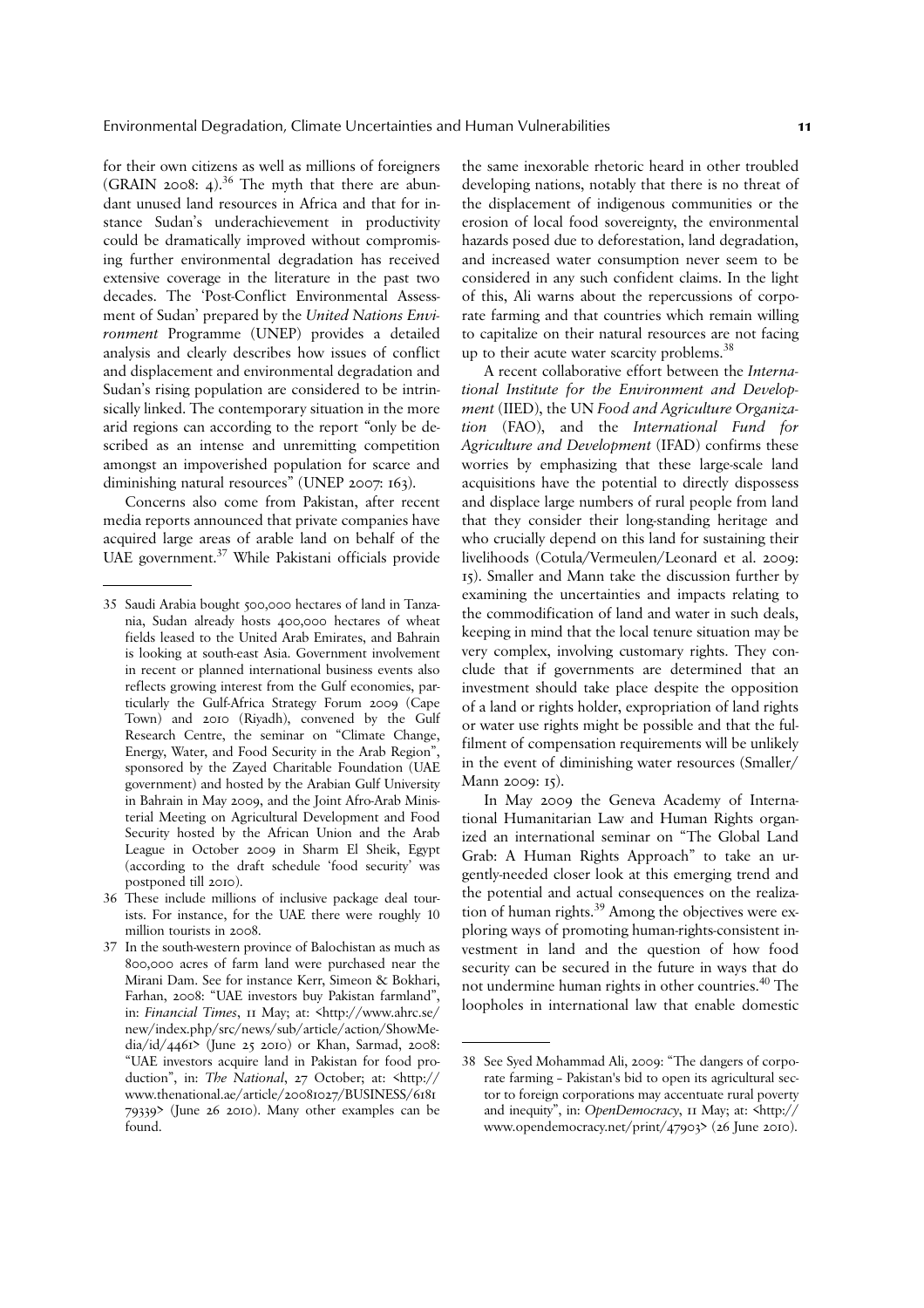for their own citizens as well as millions of foreigners (GRAIN 2008: 4). $36$  The myth that there are abundant unused land resources in Africa and that for instance Sudan's underachievement in productivity could be dramatically improved without compromising further environmental degradation has received extensive coverage in the literature in the past two decades. The 'Post-Conflict Environmental Assessment of Sudan' prepared by the *United Nations Environment* Programme (UNEP) provides a detailed analysis and clearly describes how issues of conflict and displacement and environmental degradation and Sudan's rising population are considered to be intrinsically linked. The contemporary situation in the more arid regions can according to the report *"*only be described as an intense and unremitting competition amongst an impoverished population for scarce and diminishing natural resources" (UNEP 2007: 163).

Concerns also come from Pakistan, after recent media reports announced that private companies have acquired large areas of arable land on behalf of the UAE government.37 While Pakistani officials provide the same inexorable rhetoric heard in other troubled developing nations, notably that there is no threat of the displacement of indigenous communities or the erosion of local food sovereignty, the environmental hazards posed due to deforestation, land degradation, and increased water consumption never seem to be considered in any such confident claims. In the light of this, Ali warns about the repercussions of corporate farming and that countries which remain willing to capitalize on their natural resources are not facing up to their acute water scarcity problems.<sup>38</sup>

A recent collaborative effort between the *International Institute for the Environment and Development* (IIED), the UN *Food and Agriculture Organization* (FAO), and the *International Fund for Agriculture and Development* (IFAD) confirms these worries by emphasizing that these large-scale land acquisitions have the potential to directly dispossess and displace large numbers of rural people from land that they consider their long-standing heritage and who crucially depend on this land for sustaining their livelihoods (Cotula/Vermeulen/Leonard et al. 2009: 15). Smaller and Mann take the discussion further by examining the uncertainties and impacts relating to the commodification of land and water in such deals, keeping in mind that the local tenure situation may be very complex, involving customary rights. They conclude that if governments are determined that an investment should take place despite the opposition of a land or rights holder, expropriation of land rights or water use rights might be possible and that the fulfilment of compensation requirements will be unlikely in the event of diminishing water resources (Smaller/ Mann 2009: 15).

In May 2009 the Geneva Academy of International Humanitarian Law and Human Rights organized an international seminar on "The Global Land Grab: A Human Rights Approach" to take an urgently-needed closer look at this emerging trend and the potential and actual consequences on the realization of human rights. $39$  Among the objectives were exploring ways of promoting human-rights-consistent investment in land and the question of how food security can be secured in the future in ways that do not undermine human rights in other countries.<sup>40</sup> The loopholes in international law that enable domestic

<sup>35</sup> Saudi Arabia bought 500,000 hectares of land in Tanzania, Sudan already hosts 400,000 hectares of wheat fields leased to the United Arab Emirates, and Bahrain is looking at south-east Asia. Government involvement in recent or planned international business events also reflects growing interest from the Gulf economies, particularly the Gulf-Africa Strategy Forum 2009 (Cape Town) and 2010 (Riyadh), convened by the Gulf Research Centre, the seminar on "Climate Change, Energy, Water, and Food Security in the Arab Region", sponsored by the Zayed Charitable Foundation (UAE government) and hosted by the Arabian Gulf University in Bahrain in May 2009, and the Joint Afro-Arab Ministerial Meeting on Agricultural Development and Food Security hosted by the African Union and the Arab League in October 2009 in Sharm El Sheik, Egypt (according to the draft schedule 'food security' was postponed till 2010).

<sup>36</sup> These include millions of inclusive package deal tourists. For instance, for the UAE there were roughly 10 million tourists in 2008.

<sup>37</sup> In the south-western province of Balochistan as much as 800,000 acres of farm land were purchased near the Mirani Dam. See for instance Kerr, Simeon & Bokhari, Farhan, 2008: "UAE investors buy Pakistan farmland", in: *Financial Times*, 11 May; at: <http://www.ahrc.se/ new/index.php/src/news/sub/article/action/ShowMedia/id/4461> (June 25 2010) or Khan, Sarmad, 2008: "UAE investors acquire land in Pakistan for food production", in: *The National*, 27 October; at: <http:// www.thenational.ae/article/20081027/BUSINESS/6181 79339> (June 26 2010). Many other examples can be found.

<sup>38</sup> See Syed Mohammad Ali, 2009: "The dangers of corporate farming – Pakistan's bid to open its agricultural sector to foreign corporations may accentuate rural poverty and inequity", in: *OpenDemocracy*, 11 May; at: <http:// www.opendemocracy.net/print/47903> (26 June 2010).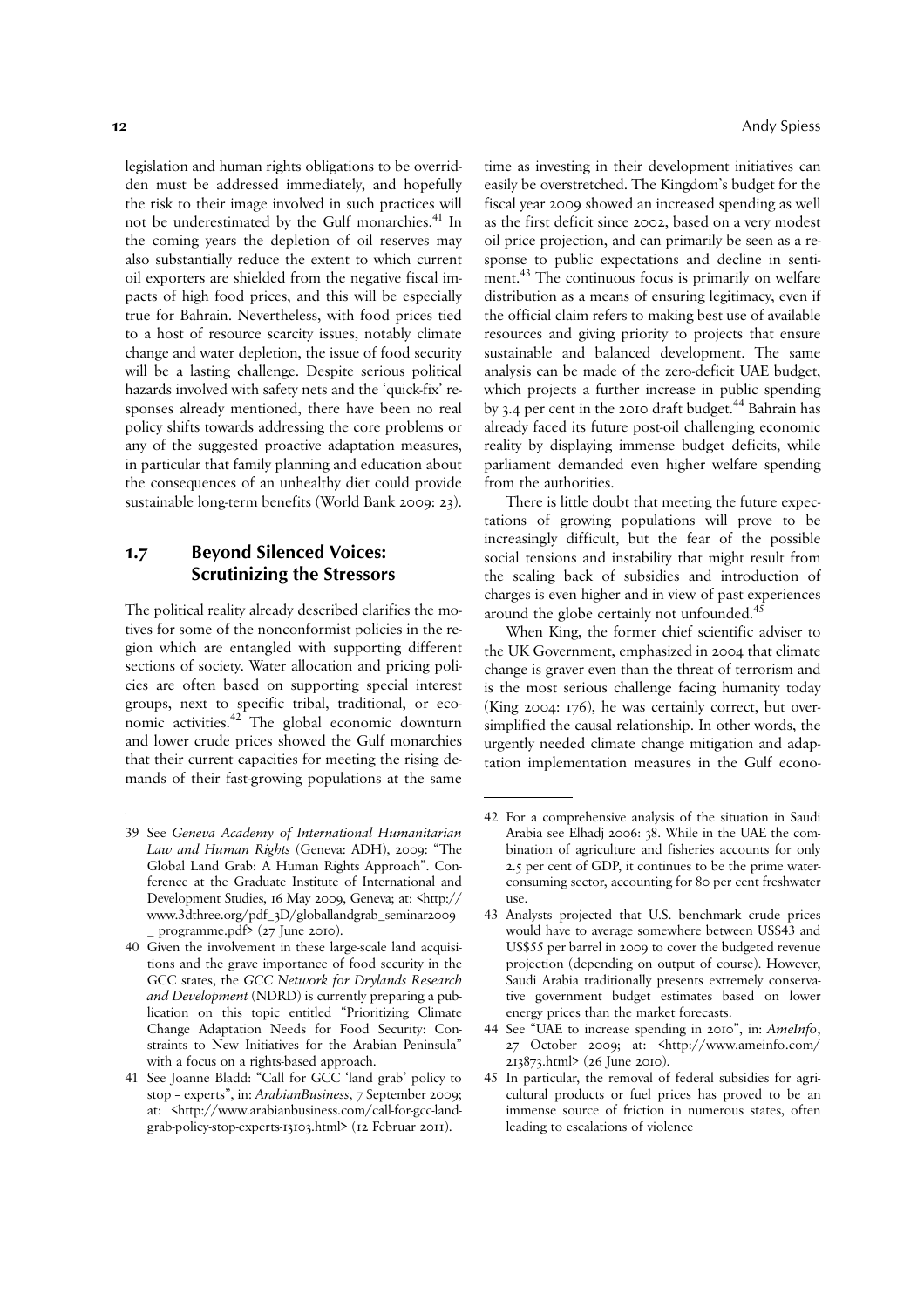legislation and human rights obligations to be overridden must be addressed immediately, and hopefully the risk to their image involved in such practices will not be underestimated by the Gulf monarchies.<sup>41</sup> In the coming years the depletion of oil reserves may also substantially reduce the extent to which current oil exporters are shielded from the negative fiscal impacts of high food prices, and this will be especially true for Bahrain. Nevertheless, with food prices tied to a host of resource scarcity issues, notably climate change and water depletion, the issue of food security will be a lasting challenge. Despite serious political hazards involved with safety nets and the 'quick-fix' responses already mentioned, there have been no real policy shifts towards addressing the core problems or any of the suggested proactive adaptation measures, in particular that family planning and education about the consequences of an unhealthy diet could provide sustainable long-term benefits (World Bank 2009: 23).

# **1.7 Beyond Silenced Voices: Scrutinizing the Stressors**

The political reality already described clarifies the motives for some of the nonconformist policies in the region which are entangled with supporting different sections of society. Water allocation and pricing policies are often based on supporting special interest groups, next to specific tribal, traditional, or economic activities.42 The global economic downturn and lower crude prices showed the Gulf monarchies that their current capacities for meeting the rising demands of their fast-growing populations at the same

time as investing in their development initiatives can easily be overstretched. The Kingdom's budget for the fiscal year 2009 showed an increased spending as well as the first deficit since 2002, based on a very modest oil price projection, and can primarily be seen as a response to public expectations and decline in sentiment.<sup>43</sup> The continuous focus is primarily on welfare distribution as a means of ensuring legitimacy, even if the official claim refers to making best use of available resources and giving priority to projects that ensure sustainable and balanced development. The same analysis can be made of the zero-deficit UAE budget, which projects a further increase in public spending by 3.4 per cent in the 2010 draft budget.<sup>44</sup> Bahrain has already faced its future post-oil challenging economic reality by displaying immense budget deficits, while parliament demanded even higher welfare spending from the authorities.

There is little doubt that meeting the future expectations of growing populations will prove to be increasingly difficult, but the fear of the possible social tensions and instability that might result from the scaling back of subsidies and introduction of charges is even higher and in view of past experiences around the globe certainly not unfounded.<sup>45</sup>

When King, the former chief scientific adviser to the UK Government, emphasized in 2004 that climate change is graver even than the threat of terrorism and is the most serious challenge facing humanity today (King 2004: 176), he was certainly correct, but oversimplified the causal relationship. In other words, the urgently needed climate change mitigation and adaptation implementation measures in the Gulf econo-

<sup>39</sup> See *Geneva Academy of International Humanitarian Law and Human Rights* (Geneva: ADH), 2009: "The Global Land Grab: A Human Rights Approach". Conference at the Graduate Institute of International and Development Studies, 16 May 2009, Geneva; at: <http:// www.3dthree.org/pdf\_3D/globallandgrab\_seminar2009 \_ programme.pdf> (27 June 2010).

<sup>40</sup> Given the involvement in these large-scale land acquisitions and the grave importance of food security in the GCC states, the *GCC Network for Drylands Research and Development* (NDRD) is currently preparing a publication on this topic entitled "Prioritizing Climate Change Adaptation Needs for Food Security: Constraints to New Initiatives for the Arabian Peninsula" with a focus on a rights-based approach.

<sup>41</sup> See Joanne Bladd: "Call for GCC 'land grab' policy to stop – experts", in: *ArabianBusiness*, 7 September 2009; at: <http://www.arabianbusiness.com/call-for-gcc-landgrab-policy-stop-experts-13103.html> (12 Februar 2011).

<sup>42</sup> For a comprehensive analysis of the situation in Saudi Arabia see Elhadj 2006: 38. While in the UAE the combination of agriculture and fisheries accounts for only 2.5 per cent of GDP, it continues to be the prime waterconsuming sector, accounting for 80 per cent freshwater use.

<sup>43</sup> Analysts projected that U.S. benchmark crude prices would have to average somewhere between US\$43 and US\$55 per barrel in 2009 to cover the budgeted revenue projection (depending on output of course). However, Saudi Arabia traditionally presents extremely conservative government budget estimates based on lower energy prices than the market forecasts.

<sup>44</sup> See "UAE to increase spending in 2010", in: *AmeInfo*, 27 October 2009; at: <http://www.ameinfo.com/ 213873.html> (26 June 2010).

<sup>45</sup> In particular, the removal of federal subsidies for agricultural products or fuel prices has proved to be an immense source of friction in numerous states, often leading to escalations of violence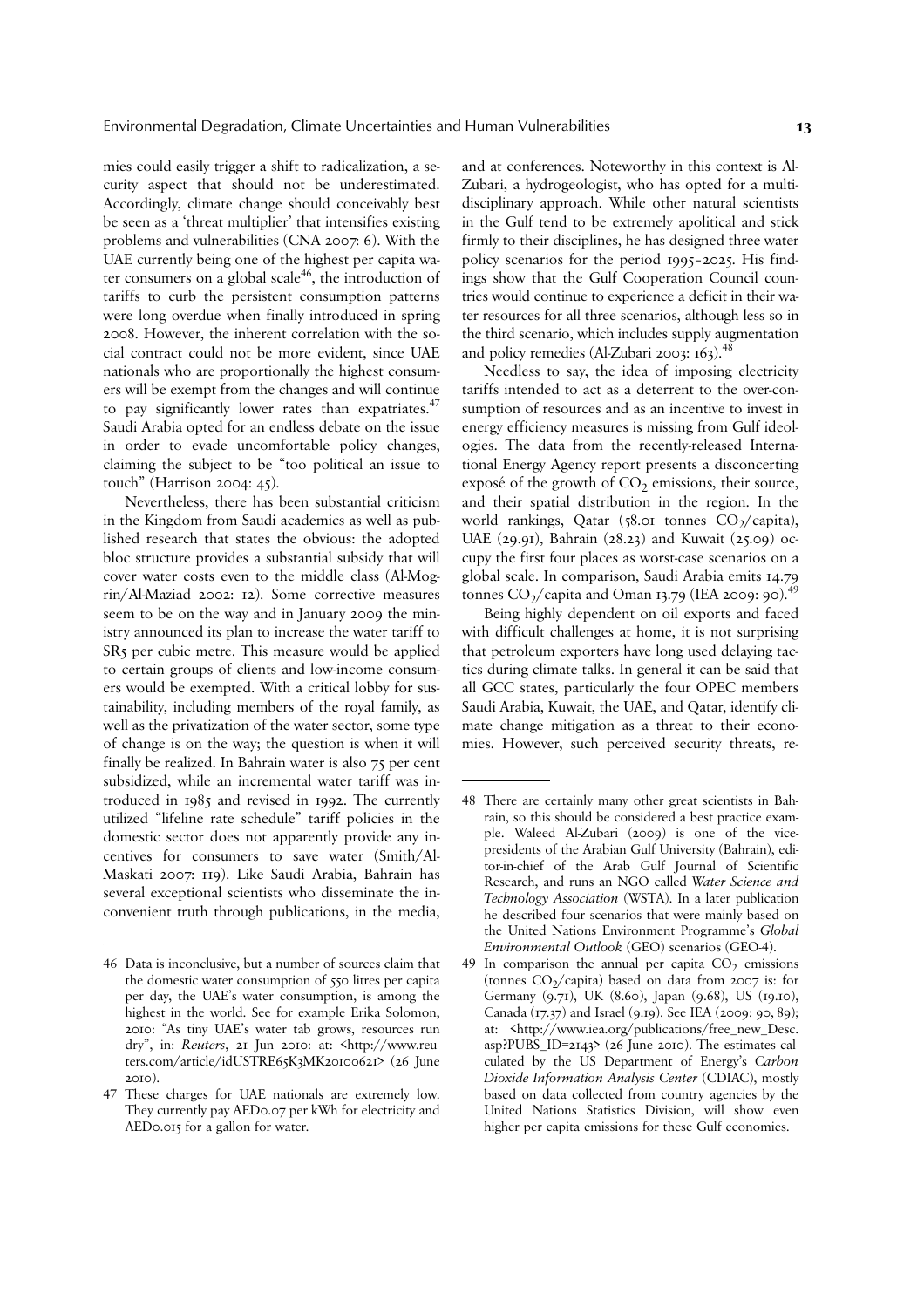mies could easily trigger a shift to radicalization, a security aspect that should not be underestimated. Accordingly, climate change should conceivably best be seen as a 'threat multiplier' that intensifies existing problems and vulnerabilities (CNA 2007: 6). With the UAE currently being one of the highest per capita water consumers on a global scale $46$ , the introduction of tariffs to curb the persistent consumption patterns were long overdue when finally introduced in spring 2008. However, the inherent correlation with the social contract could not be more evident, since UAE nationals who are proportionally the highest consumers will be exempt from the changes and will continue to pay significantly lower rates than expatriates. $47$ Saudi Arabia opted for an endless debate on the issue in order to evade uncomfortable policy changes, claiming the subject to be "too political an issue to touch" (Harrison 2004: 45).

Nevertheless, there has been substantial criticism in the Kingdom from Saudi academics as well as published research that states the obvious: the adopted bloc structure provides a substantial subsidy that will cover water costs even to the middle class (Al-Mogrin/Al-Maziad 2002: 12). Some corrective measures seem to be on the way and in January 2009 the ministry announced its plan to increase the water tariff to SR5 per cubic metre. This measure would be applied to certain groups of clients and low-income consumers would be exempted. With a critical lobby for sustainability, including members of the royal family, as well as the privatization of the water sector, some type of change is on the way; the question is when it will finally be realized. In Bahrain water is also 75 per cent subsidized, while an incremental water tariff was introduced in 1985 and revised in 1992. The currently utilized "lifeline rate schedule" tariff policies in the domestic sector does not apparently provide any incentives for consumers to save water (Smith/Al-Maskati 2007: 119). Like Saudi Arabia, Bahrain has several exceptional scientists who disseminate the inconvenient truth through publications, in the media, and at conferences. Noteworthy in this context is Al-Zubari, a hydrogeologist, who has opted for a multidisciplinary approach. While other natural scientists in the Gulf tend to be extremely apolitical and stick firmly to their disciplines, he has designed three water policy scenarios for the period 1995 – 2025. His findings show that the Gulf Cooperation Council countries would continue to experience a deficit in their water resources for all three scenarios, although less so in the third scenario, which includes supply augmentation and policy remedies (Al-Zubari 2003: 163).<sup>48</sup>

Needless to say, the idea of imposing electricity tariffs intended to act as a deterrent to the over-consumption of resources and as an incentive to invest in energy efficiency measures is missing from Gulf ideologies. The data from the recently-released International Energy Agency report presents a disconcerting exposé of the growth of  $CO<sub>2</sub>$  emissions, their source, and their spatial distribution in the region. In the world rankings, Qatar (58.01 tonnes  $CO<sub>2</sub>/capita)$ , UAE (29.91), Bahrain (28.23) and Kuwait (25.09) occupy the first four places as worst-case scenarios on a global scale. In comparison, Saudi Arabia emits 14.79 tonnes CO<sub>2</sub>/capita and Oman 13.79 (IEA 2009: 90).<sup>49</sup>

Being highly dependent on oil exports and faced with difficult challenges at home, it is not surprising that petroleum exporters have long used delaying tactics during climate talks. In general it can be said that all GCC states, particularly the four OPEC members Saudi Arabia, Kuwait, the UAE, and Qatar, identify climate change mitigation as a threat to their economies. However, such perceived security threats, re-

49 In comparison the annual per capita  $CO<sub>2</sub>$  emissions (tonnes  $CO_2/c$ apita) based on data from 2007 is: for Germany (9.71), UK (8.60), Japan (9.68), US (19.10), Canada (17.37) and Israel (9.19). See IEA (2009: 90, 89); at: <http://www.iea.org/publications/free\_new\_Desc. asp?PUBS\_ID=2143> (26 June 2010). The estimates calculated by the US Department of Energy's *Carbon Dioxide Information Analysis Center* (CDIAC), mostly based on data collected from country agencies by the United Nations Statistics Division, will show even higher per capita emissions for these Gulf economies.

<sup>46</sup> Data is inconclusive, but a number of sources claim that the domestic water consumption of 550 litres per capita per day, the UAE's water consumption, is among the highest in the world. See for example Erika Solomon, 2010: "As tiny UAE's water tab grows, resources run dry", in: *Reuters*, 21 Jun 2010: at: <http://www.reuters.com/article/idUSTRE65K3MK20100621> (26 June 2010).

<sup>47</sup> These charges for UAE nationals are extremely low. They currently pay AED0.07 per kWh for electricity and AED0.015 for a gallon for water.

<sup>48</sup> There are certainly many other great scientists in Bahrain, so this should be considered a best practice example. Waleed Al-Zubari (2009) is one of the vicepresidents of the Arabian Gulf University (Bahrain), editor-in-chief of the Arab Gulf Journal of Scientific Research, and runs an NGO called *Water Science and Technology Association* (WSTA). In a later publication he described four scenarios that were mainly based on the United Nations Environment Programme's *Global Environmental Outlook* (GEO) scenarios (GEO-4).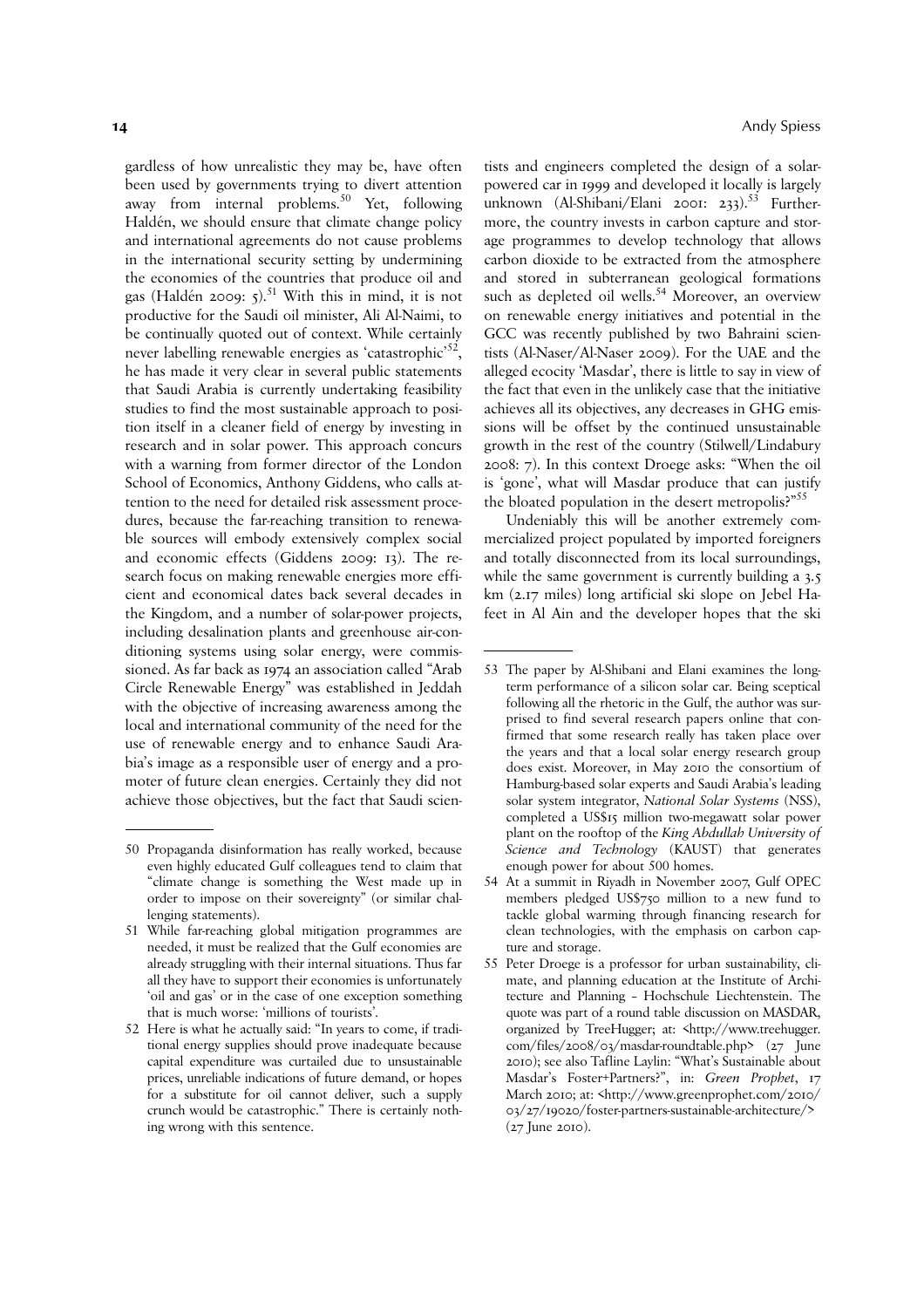gardless of how unrealistic they may be, have often been used by governments trying to divert attention away from internal problems.<sup>50</sup> Yet, following Haldén, we should ensure that climate change policy and international agreements do not cause problems in the international security setting by undermining the economies of the countries that produce oil and gas (Haldén 2009: 5).<sup>51</sup> With this in mind, it is not productive for the Saudi oil minister, Ali Al-Naimi, to be continually quoted out of context. While certainly never labelling renewable energies as 'catastrophic'<sup>52</sup>, he has made it very clear in several public statements that Saudi Arabia is currently undertaking feasibility studies to find the most sustainable approach to position itself in a cleaner field of energy by investing in research and in solar power. This approach concurs with a warning from former director of the London School of Economics, Anthony Giddens, who calls attention to the need for detailed risk assessment procedures, because the far-reaching transition to renewable sources will embody extensively complex social and economic effects (Giddens 2009: 13). The research focus on making renewable energies more efficient and economical dates back several decades in the Kingdom, and a number of solar-power projects, including desalination plants and greenhouse air-conditioning systems using solar energy, were commissioned. As far back as 1974 an association called "Arab Circle Renewable Energy" was established in Jeddah with the objective of increasing awareness among the local and international community of the need for the use of renewable energy and to enhance Saudi Arabia's image as a responsible user of energy and a promoter of future clean energies. Certainly they did not achieve those objectives, but the fact that Saudi scientists and engineers completed the design of a solarpowered car in 1999 and developed it locally is largely unknown (Al-Shibani/Elani 2001: 233).<sup>53</sup> Furthermore, the country invests in carbon capture and storage programmes to develop technology that allows carbon dioxide to be extracted from the atmosphere and stored in subterranean geological formations such as depleted oil wells.<sup>54</sup> Moreover, an overview on renewable energy initiatives and potential in the GCC was recently published by two Bahraini scientists (Al-Naser/Al-Naser 2009). For the UAE and the alleged ecocity 'Masdar', there is little to say in view of the fact that even in the unlikely case that the initiative achieves all its objectives, any decreases in GHG emissions will be offset by the continued unsustainable growth in the rest of the country (Stilwell/Lindabury 2008: 7). In this context Droege asks: "When the oil is 'gone', what will Masdar produce that can justify the bloated population in the desert metropolis?"55

Undeniably this will be another extremely commercialized project populated by imported foreigners and totally disconnected from its local surroundings, while the same government is currently building a 3.5 km (2.17 miles) long artificial ski slope on Jebel Hafeet in Al Ain and the developer hopes that the ski

<sup>50</sup> Propaganda disinformation has really worked, because even highly educated Gulf colleagues tend to claim that "climate change is something the West made up in order to impose on their sovereignty" (or similar challenging statements).

<sup>51</sup> While far-reaching global mitigation programmes are needed, it must be realized that the Gulf economies are already struggling with their internal situations. Thus far all they have to support their economies is unfortunately 'oil and gas' or in the case of one exception something that is much worse: 'millions of tourists'.

<sup>52</sup> Here is what he actually said: "In years to come, if traditional energy supplies should prove inadequate because capital expenditure was curtailed due to unsustainable prices, unreliable indications of future demand, or hopes for a substitute for oil cannot deliver, such a supply crunch would be catastrophic." There is certainly nothing wrong with this sentence.

<sup>53</sup> The paper by Al-Shibani and Elani examines the longterm performance of a silicon solar car. Being sceptical following all the rhetoric in the Gulf, the author was surprised to find several research papers online that confirmed that some research really has taken place over the years and that a local solar energy research group does exist. Moreover, in May 2010 the consortium of Hamburg-based solar experts and Saudi Arabia's leading solar system integrator, *National Solar Systems* (NSS), completed a US\$15 million two-megawatt solar power plant on the rooftop of the *King Abdullah University of Science and Technology* (KAUST) that generates enough power for about 500 homes.

<sup>54</sup> At a summit in Riyadh in November 2007, Gulf OPEC members pledged US\$750 million to a new fund to tackle global warming through financing research for clean technologies, with the emphasis on carbon capture and storage.

<sup>55</sup> Peter Droege is a professor for urban sustainability, climate, and planning education at the Institute of Architecture and Planning – Hochschule Liechtenstein. The quote was part of a round table discussion on MASDAR, organized by TreeHugger; at: <http://www.treehugger. com/files/2008/03/masdar-roundtable.php> (27 June 2010); see also Tafline Laylin: "What's Sustainable about Masdar's Foster+Partners?", in: *Green Prophet*, 17 March 2010; at: <http://www.greenprophet.com/2010/ 03/27/19020/foster-partners-sustainable-architecture/> (27 June 2010).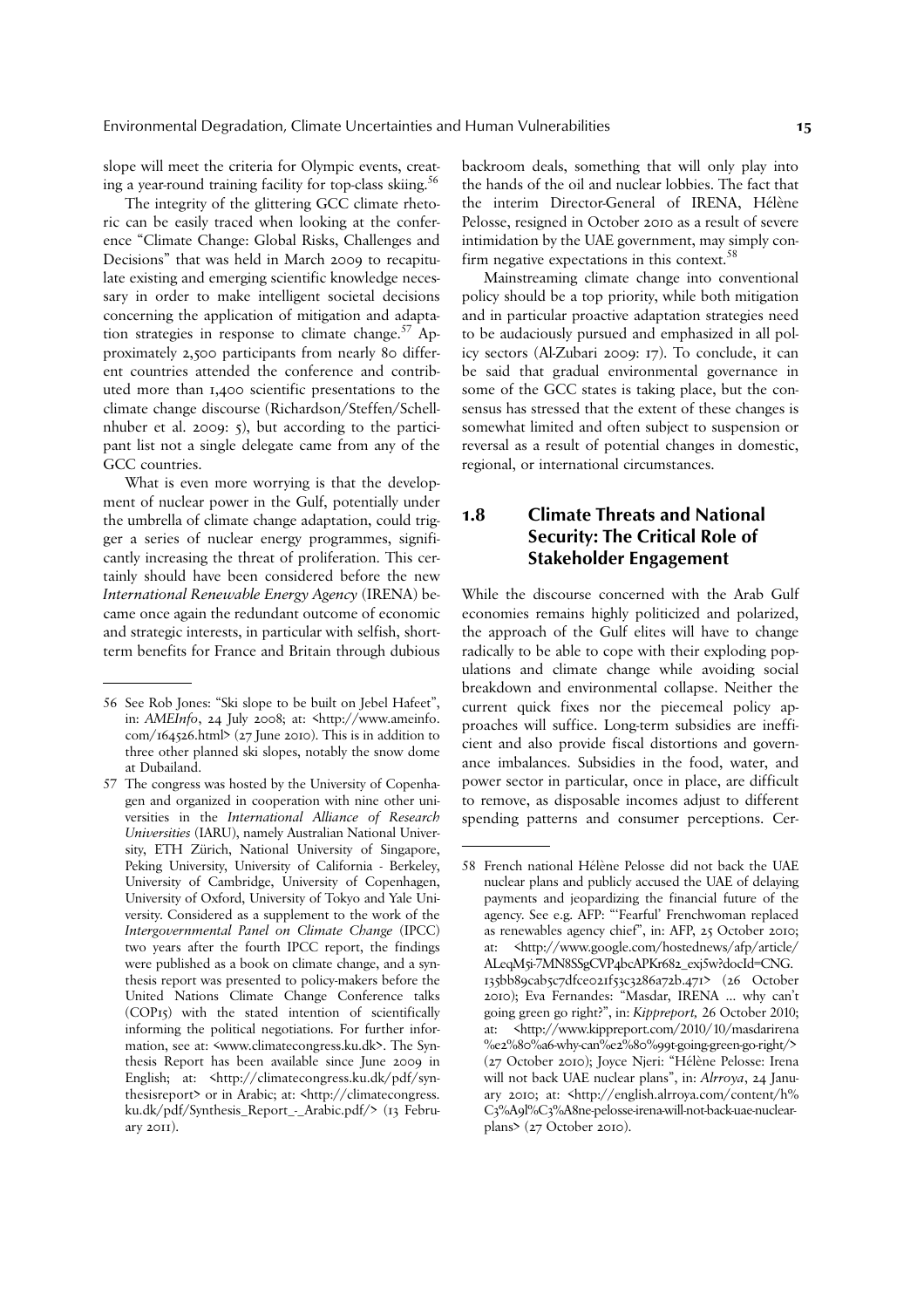slope will meet the criteria for Olympic events, creating a year-round training facility for top-class skiing.<sup>56</sup>

The integrity of the glittering GCC climate rhetoric can be easily traced when looking at the conference "Climate Change: Global Risks, Challenges and Decisions" that was held in March 2009 to recapitulate existing and emerging scientific knowledge necessary in order to make intelligent societal decisions concerning the application of mitigation and adaptation strategies in response to climate change.<sup>57</sup> Approximately 2,500 participants from nearly 80 different countries attended the conference and contributed more than 1,400 scientific presentations to the climate change discourse (Richardson/Steffen/Schellnhuber et al. 2009: 5), but according to the participant list not a single delegate came from any of the GCC countries.

What is even more worrying is that the development of nuclear power in the Gulf, potentially under the umbrella of climate change adaptation, could trigger a series of nuclear energy programmes, significantly increasing the threat of proliferation. This certainly should have been considered before the new *International Renewable Energy Agency* (IRENA) became once again the redundant outcome of economic and strategic interests, in particular with selfish, shortterm benefits for France and Britain through dubious backroom deals, something that will only play into the hands of the oil and nuclear lobbies. The fact that the interim Director-General of IRENA, Hélène Pelosse, resigned in October 2010 as a result of severe intimidation by the UAE government, may simply confirm negative expectations in this context.<sup>58</sup>

Mainstreaming climate change into conventional policy should be a top priority, while both mitigation and in particular proactive adaptation strategies need to be audaciously pursued and emphasized in all policy sectors (Al-Zubari 2009: 17). To conclude, it can be said that gradual environmental governance in some of the GCC states is taking place, but the consensus has stressed that the extent of these changes is somewhat limited and often subject to suspension or reversal as a result of potential changes in domestic, regional, or international circumstances.

## **1.8 Climate Threats and National Security: The Critical Role of Stakeholder Engagement**

While the discourse concerned with the Arab Gulf economies remains highly politicized and polarized, the approach of the Gulf elites will have to change radically to be able to cope with their exploding populations and climate change while avoiding social breakdown and environmental collapse. Neither the current quick fixes nor the piecemeal policy approaches will suffice. Long-term subsidies are inefficient and also provide fiscal distortions and governance imbalances. Subsidies in the food, water, and power sector in particular, once in place, are difficult to remove, as disposable incomes adjust to different spending patterns and consumer perceptions. Cer-

<sup>56</sup> See Rob Jones: "Ski slope to be built on Jebel Hafeet", in: *AMEInfo*, 24 July 2008; at: <http://www.ameinfo. com/164526.html> (27 June 2010). This is in addition to three other planned ski slopes, notably the snow dome at Dubailand.

<sup>57</sup> The congress was hosted by the University of Copenhagen and organized in cooperation with nine other universities in the *International Alliance of Research Universities* (IARU), namely Australian National University, ETH Zürich, National University of Singapore, Peking University, University of California - Berkeley, University of Cambridge, University of Copenhagen, University of Oxford, University of Tokyo and Yale University. Considered as a supplement to the work of the *Intergovernmental Panel on Climate Change* (IPCC) two years after the fourth IPCC report, the findings were published as a book on climate change, and a synthesis report was presented to policy-makers before the United Nations Climate Change Conference talks (COP15) with the stated intention of scientifically informing the political negotiations. For further information, see at: <www.climatecongress.ku.dk>. The Synthesis Report has been available since June 2009 in English; at:  $\frac{\text{http://climatecongress.ku.dk/pdf/syn-}}{\text{http://climatecongress.ku.dk/pdf/syn-}}$ thesisreport> or in Arabic; at: <http://climatecongress. ku.dk/pdf/Synthesis\_Report\_-\_Arabic.pdf/> (13 February 2011).

<sup>58</sup> French national Hélène Pelosse did not back the UAE nuclear plans and publicly accused the UAE of delaying payments and jeopardizing the financial future of the agency. See e.g. AFP: "'Fearful' Frenchwoman replaced as renewables agency chief", in: AFP, 25 October 2010; at: <http://www.google.com/hostednews/afp/article/ ALeqM5i-7MN8SSgCVP4bcAPKr682\_exj5w?docId=CNG. 135bb89cab5c7dfce021f53c3286a72b.471> (26 October 2010); Eva Fernandes: "Masdar, IRENA … why can't going green go right?", in: *Kippreport,* 26 October 2010; at: <http://www.kippreport.com/2010/10/masdarirena %e2%80%a6-why-can%e2%80%99t-going-green-go-right/> (27 October 2010); Joyce Njeri: "Hélène Pelosse: Irena will not back UAE nuclear plans", in: *Alrroya*, 24 January 2010; at: <http://english.alrroya.com/content/h% C3%A9l%C3%A8ne-pelosse-irena-will-not-back-uae-nuclearplans> (27 October 2010).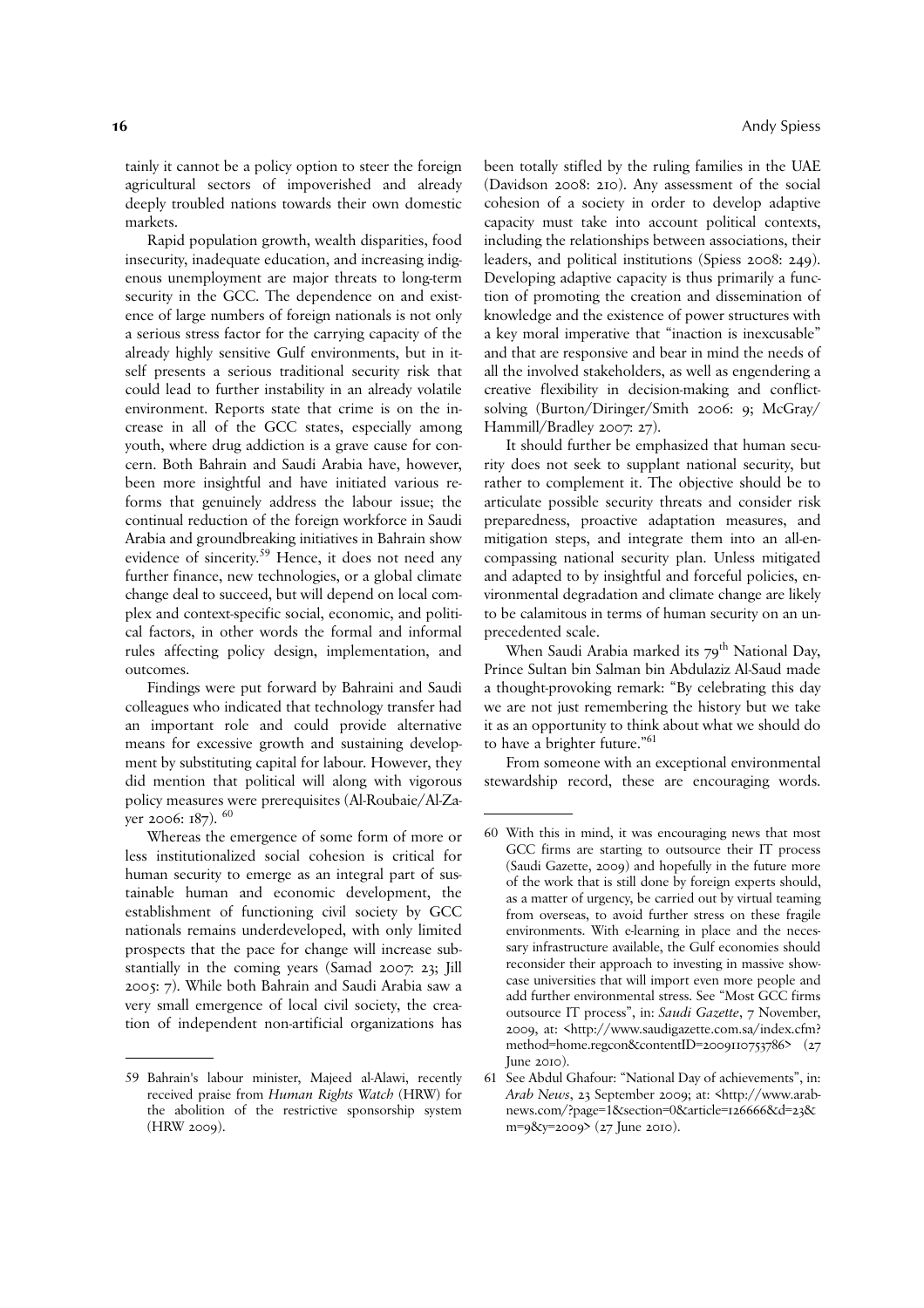tainly it cannot be a policy option to steer the foreign agricultural sectors of impoverished and already deeply troubled nations towards their own domestic markets.

Rapid population growth, wealth disparities, food insecurity, inadequate education, and increasing indigenous unemployment are major threats to long-term security in the GCC. The dependence on and existence of large numbers of foreign nationals is not only a serious stress factor for the carrying capacity of the already highly sensitive Gulf environments, but in itself presents a serious traditional security risk that could lead to further instability in an already volatile environment. Reports state that crime is on the increase in all of the GCC states, especially among youth, where drug addiction is a grave cause for concern. Both Bahrain and Saudi Arabia have, however, been more insightful and have initiated various reforms that genuinely address the labour issue; the continual reduction of the foreign workforce in Saudi Arabia and groundbreaking initiatives in Bahrain show evidence of sincerity.59 Hence, it does not need any further finance, new technologies, or a global climate change deal to succeed, but will depend on local complex and context-specific social, economic, and political factors, in other words the formal and informal rules affecting policy design, implementation, and outcomes.

Findings were put forward by Bahraini and Saudi colleagues who indicated that technology transfer had an important role and could provide alternative means for excessive growth and sustaining development by substituting capital for labour. However, they did mention that political will along with vigorous policy measures were prerequisites (Al-Roubaie/Al-Zayer 2006: 187). <sup>60</sup>

Whereas the emergence of some form of more or less institutionalized social cohesion is critical for human security to emerge as an integral part of sustainable human and economic development, the establishment of functioning civil society by GCC nationals remains underdeveloped, with only limited prospects that the pace for change will increase substantially in the coming years (Samad 2007: 23; Jill 2005: 7). While both Bahrain and Saudi Arabia saw a very small emergence of local civil society, the creation of independent non-artificial organizations has been totally stifled by the ruling families in the UAE (Davidson 2008: 210). Any assessment of the social cohesion of a society in order to develop adaptive capacity must take into account political contexts, including the relationships between associations, their leaders, and political institutions (Spiess 2008: 249). Developing adaptive capacity is thus primarily a function of promoting the creation and dissemination of knowledge and the existence of power structures with a key moral imperative that "inaction is inexcusable" and that are responsive and bear in mind the needs of all the involved stakeholders, as well as engendering a creative flexibility in decision-making and conflictsolving (Burton/Diringer/Smith 2006: 9; McGray/ Hammill/Bradley 2007: 27).

It should further be emphasized that human security does not seek to supplant national security, but rather to complement it. The objective should be to articulate possible security threats and consider risk preparedness, proactive adaptation measures, and mitigation steps, and integrate them into an all-encompassing national security plan. Unless mitigated and adapted to by insightful and forceful policies, environmental degradation and climate change are likely to be calamitous in terms of human security on an unprecedented scale.

When Saudi Arabia marked its 79<sup>th</sup> National Day, Prince Sultan bin Salman bin Abdulaziz Al-Saud made a thought-provoking remark: "By celebrating this day we are not just remembering the history but we take it as an opportunity to think about what we should do to have a brighter future."<sup>61</sup>

From someone with an exceptional environmental stewardship record, these are encouraging words.

<sup>59</sup> Bahrain's labour minister, Majeed al-Alawi, recently received praise from *Human Rights Watch* (HRW) for the abolition of the restrictive sponsorship system (HRW 2009).

<sup>60</sup> With this in mind, it was encouraging news that most GCC firms are starting to outsource their IT process (Saudi Gazette, 2009) and hopefully in the future more of the work that is still done by foreign experts should, as a matter of urgency, be carried out by virtual teaming from overseas, to avoid further stress on these fragile environments. With e-learning in place and the necessary infrastructure available, the Gulf economies should reconsider their approach to investing in massive showcase universities that will import even more people and add further environmental stress. See "Most GCC firms outsource IT process", in: *Saudi Gazette*, 7 November, 2009, at: <http://www.saudigazette.com.sa/index.cfm? method=home.regcon&contentID=2009110753786> (27 June 2010).

<sup>61</sup> See Abdul Ghafour: "National Day of achievements", in: *Arab News*, 23 September 2009; at: <http://www.arabnews.com/?page=1&section=0&article=126666&d=23& m=9&y=2009> (27 June 2010).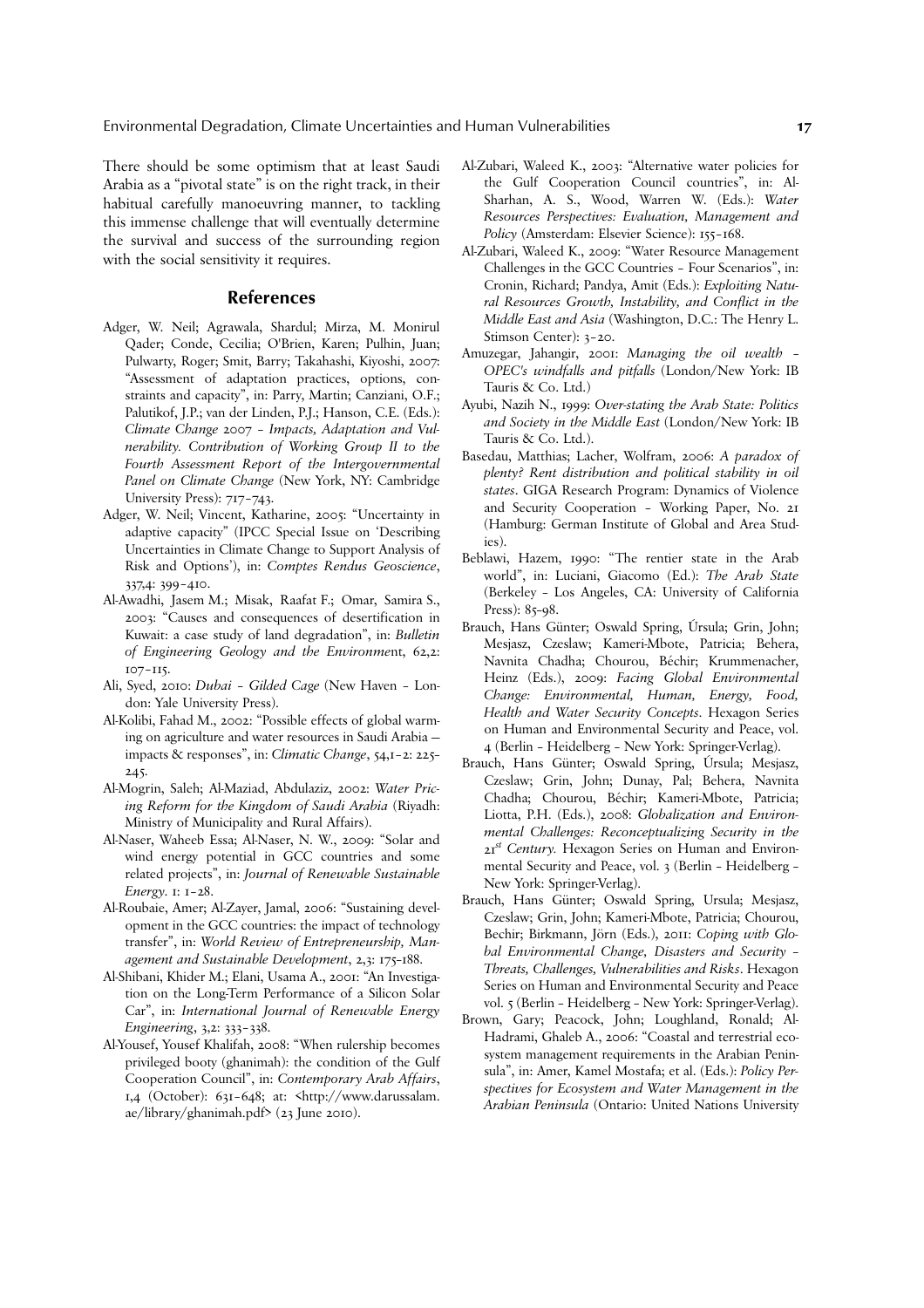There should be some optimism that at least Saudi Arabia as a "pivotal state" is on the right track, in their habitual carefully manoeuvring manner, to tackling this immense challenge that will eventually determine the survival and success of the surrounding region with the social sensitivity it requires.

#### **References**

- Adger, W. Neil; Agrawala, Shardul; Mirza, M. Monirul Qader; Conde, Cecilia; O'Brien, Karen; Pulhin, Juan; Pulwarty, Roger; Smit, Barry; Takahashi, Kiyoshi, 2007: "Assessment of adaptation practices, options, constraints and capacity", in: Parry, Martin; Canziani, O.F.; Palutikof, J.P.; van der Linden, P.J.; Hanson, C.E. (Eds.): *Climate Change* 2007 – *Impacts, Adaptation and Vulnerability. Contribution of Working Group II to the Fourth Assessment Report of the Intergovernmental Panel on Climate Change* (New York, NY: Cambridge University Press): 717 – 743.
- Adger, W. Neil; Vincent, Katharine, 2005: "Uncertainty in adaptive capacity" (IPCC Special Issue on 'Describing Uncertainties in Climate Change to Support Analysis of Risk and Options'), in: *Comptes Rendus Geoscience*, 337,4: 399 – 410.
- Al-Awadhi, Jasem M.; Misak, Raafat F.; Omar, Samira S., 2003: "Causes and consequences of desertification in Kuwait: a case study of land degradation", in: *Bulletin of Engineering Geology and the Environme*nt, 62,2: 107 – 115.
- Ali, Syed, 2010: *Dubai Gilded Cage* (New Haven London: Yale University Press).
- Al-Kolibi, Fahad M., 2002: "Possible effects of global warming on agriculture and water resources in Saudi Arabia impacts & responses", in: *Climatic Change*, 54,1 – 2: 225– 245.
- Al-Mogrin, Saleh; Al-Maziad, Abdulaziz, 2002: *Water Pricing Reform for the Kingdom of Saudi Arabia* (Riyadh: Ministry of Municipality and Rural Affairs).
- Al-Naser, Waheeb Essa; Al-Naser, N. W., 2009: "Solar and wind energy potential in GCC countries and some related projects", in: *Journal of Renewable Sustainable Energy*. 1: 1-28.
- Al-Roubaie, Amer; Al-Zayer, Jamal, 2006: "Sustaining development in the GCC countries: the impact of technology transfer", in: *World Review of Entrepreneurship, Management and Sustainable Development*, 2,3: 175–188.
- Al-Shibani, Khider M.; Elani, Usama A., 2001: "An Investigation on the Long-Term Performance of a Silicon Solar Car", in: *International Journal of Renewable Energy Engineering*, 3,2: 333 – 338.
- Al-Yousef, Yousef Khalifah, 2008: "When rulership becomes privileged booty (ghanimah): the condition of the Gulf Cooperation Council", in: *Contemporary Arab Affairs*, 1,4 (October): 631 – 648; at: <http://www.darussalam. ae/library/ghanimah.pdf> (23 June 2010).
- Al-Zubari, Waleed K., 2003: "Alternative water policies for the Gulf Cooperation Council countries", in: Al-Sharhan, A. S., Wood, Warren W. (Eds.): *Water Resources Perspectives: Evaluation, Management and*  Policy (Amsterdam: Elsevier Science): 155-168.
- Al-Zubari, Waleed K., 2009: "Water Resource Management Challenges in the GCC Countries – Four Scenarios", in: Cronin, Richard; Pandya, Amit (Eds.): *Exploiting Natural Resources Growth, Instability, and Conflict in the Middle East and Asia* (Washington, D.C.: The Henry L. Stimson Center): 3-20.
- Amuzegar, Jahangir, 2001: *Managing the oil wealth OPEC's windfalls and pitfalls* (London/New York: IB Tauris & Co. Ltd.)
- Ayubi, Nazih N., 1999: *Over-stating the Arab State: Politics and Society in the Middle East* (London/New York: IB Tauris & Co. Ltd.).
- Basedau, Matthias; Lacher, Wolfram, 2006: *A paradox of plenty? Rent distribution and political stability in oil states*. GIGA Research Program: Dynamics of Violence and Security Cooperation – Working Paper, No. 21 (Hamburg: German Institute of Global and Area Studies).
- Beblawi, Hazem, 1990: "The rentier state in the Arab world", in: Luciani, Giacomo (Ed.): *The Arab State* (Berkeley – Los Angeles, CA: University of California Press): 85-98.
- Brauch, Hans Günter; Oswald Spring, Úrsula; Grin, John; Mesjasz, Czeslaw; Kameri-Mbote, Patricia; Behera, Navnita Chadha; Chourou, Béchir; Krummenacher, Heinz (Eds.), 2009: *Facing Global Environmental Change: Environmental, Human, Energy, Food, Health and Water Security Concepts*. Hexagon Series on Human and Environmental Security and Peace, vol. 4 (Berlin – Heidelberg – New York: Springer-Verlag).
- Brauch, Hans Günter; Oswald Spring, Úrsula; Mesjasz, Czeslaw; Grin, John; Dunay, Pal; Behera, Navnita Chadha; Chourou, Béchir; Kameri-Mbote, Patricia; Liotta, P.H. (Eds.), 2008: *Globalization and Environmental Challenges: Reconceptualizing Security in the*  21*st Century.* Hexagon Series on Human and Environmental Security and Peace, vol. 3 (Berlin – Heidelberg – New York: Springer-Verlag).
- Brauch, Hans Günter; Oswald Spring, Ursula; Mesjasz, Czeslaw; Grin, John; Kameri-Mbote, Patricia; Chourou, Bechir; Birkmann, Jörn (Eds.), 2011: *Coping with Global Environmental Change, Disasters and Security – Threats, Challenges, Vulnerabilities and Risks*. Hexagon Series on Human and Environmental Security and Peace vol. 5 (Berlin – Heidelberg – New York: Springer-Verlag).
- Brown, Gary; Peacock, John; Loughland, Ronald; Al-Hadrami, Ghaleb A., 2006: "Coastal and terrestrial ecosystem management requirements in the Arabian Peninsula", in: Amer, Kamel Mostafa; et al. (Eds.): *Policy Perspectives for Ecosystem and Water Management in the Arabian Peninsula* (Ontario: United Nations University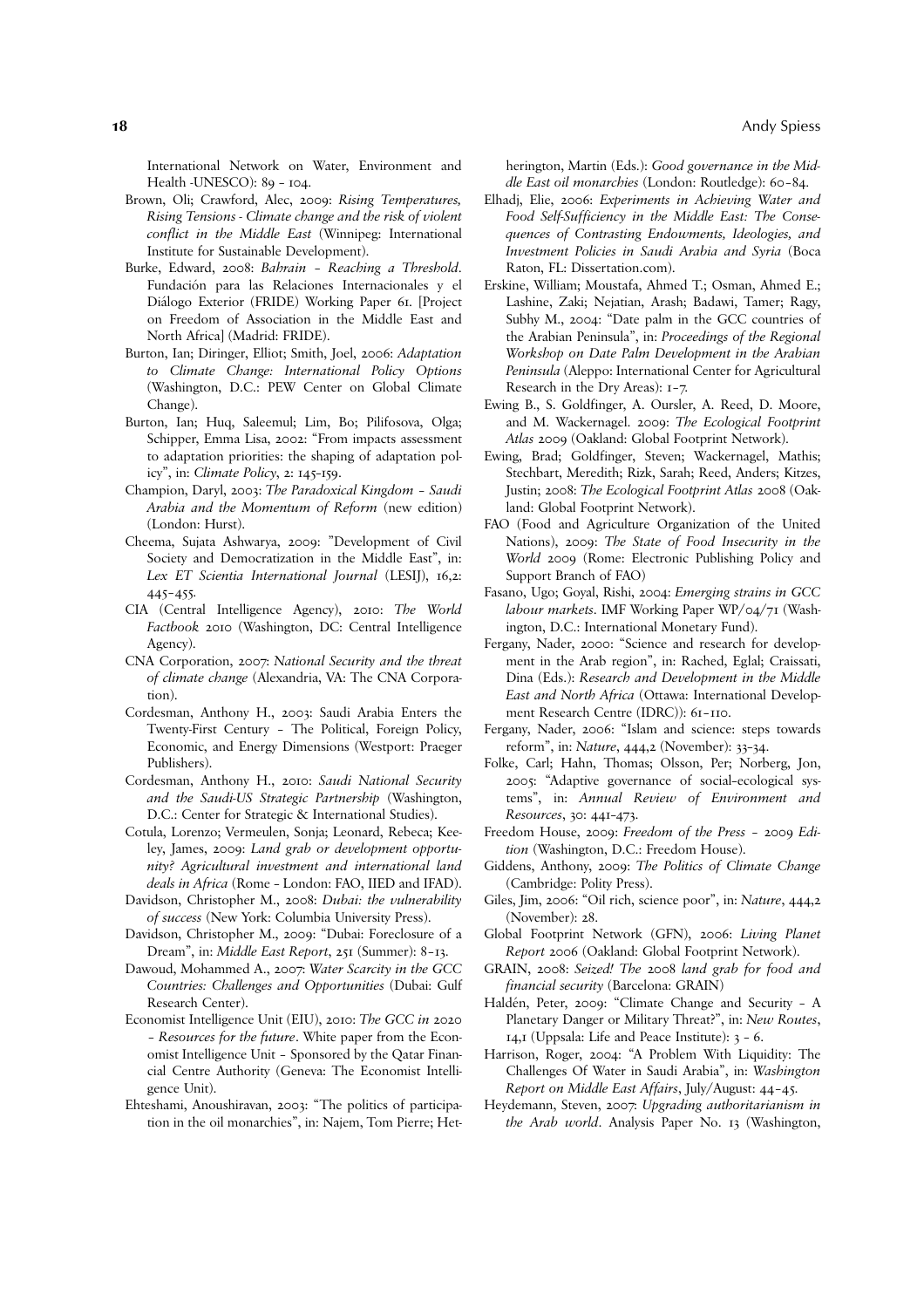International Network on Water, Environment and Health -UNESCO): 89 – 104.

- Brown, Oli; Crawford, Alec, 2009: *Rising Temperatures, Rising Tensions - Climate change and the risk of violent conflict in the Middle East* (Winnipeg: International Institute for Sustainable Development).
- Burke, Edward, 2008: *Bahrain Reaching a Threshold*. Fundación para las Relaciones Internacionales y el Diálogo Exterior (FRIDE) Working Paper 61. [Project on Freedom of Association in the Middle East and North Africa] (Madrid: FRIDE).
- Burton, Ian; Diringer, Elliot; Smith, Joel, 2006: *Adaptation to Climate Change: International Policy Options* (Washington, D.C.: PEW Center on Global Climate Change).
- Burton, Ian; Huq, Saleemul; Lim, Bo; Pilifosova, Olga; Schipper, Emma Lisa, 2002: "From impacts assessment to adaptation priorities: the shaping of adaptation policy", in: *Climate Policy*, 2: 145–159.
- Champion, Daryl, 2003: *The Paradoxical Kingdom Saudi Arabia and the Momentum of Reform* (new edition) (London: Hurst).
- Cheema, Sujata Ashwarya, 2009: "Development of Civil Society and Democratization in the Middle East", in: *Lex ET Scientia International Journal* (LESIJ), 16,2:  $445 - 455$ .
- CIA (Central Intelligence Agency), 2010: *The World Factbook* 2010 (Washington, DC: Central Intelligence Agency).
- CNA Corporation, 2007: *National Security and the threat of climate change* (Alexandria, VA: The CNA Corporation).
- Cordesman, Anthony H., 2003: Saudi Arabia Enters the Twenty-First Century – The Political, Foreign Policy, Economic, and Energy Dimensions (Westport: Praeger Publishers).
- Cordesman, Anthony H., 2010: *Saudi National Security and the Saudi-US Strategic Partnership* (Washington, D.C.: Center for Strategic & International Studies).
- Cotula, Lorenzo; Vermeulen, Sonja; Leonard, Rebeca; Keeley, James, 2009: *Land grab or development opportunity? Agricultural investment and international land deals in Africa* (Rome – London: FAO, IIED and IFAD).
- Davidson, Christopher M., 2008: *Dubai: the vulnerability of success* (New York: Columbia University Press).
- Davidson, Christopher M., 2009: "Dubai: Foreclosure of a Dream", in: *Middle East Report*, 251 (Summer): 8 – 13.
- Dawoud, Mohammed A., 2007: *Water Scarcity in the GCC Countries: Challenges and Opportunities* (Dubai: Gulf Research Center).
- Economist Intelligence Unit (EIU), 2010: *The GCC in* 2020 – *Resources for the future*. White paper from the Economist Intelligence Unit – Sponsored by the Qatar Financial Centre Authority (Geneva: The Economist Intelligence Unit).
- Ehteshami, Anoushiravan, 2003: "The politics of participation in the oil monarchies", in: Najem, Tom Pierre; Het-

herington, Martin (Eds.): *Good governance in the Middle East oil monarchies* (London: Routledge): 60 – 84.

- Elhadj, Elie, 2006: *Experiments in Achieving Water and Food Self-Sufficiency in the Middle East: The Consequences of Contrasting Endowments, Ideologies, and Investment Policies in Saudi Arabia and Syria* (Boca Raton, FL: Dissertation.com).
- Erskine, William; Moustafa, Ahmed T.; Osman, Ahmed E.; Lashine, Zaki; Nejatian, Arash; Badawi, Tamer; Ragy, Subhy M., 2004: "Date palm in the GCC countries of the Arabian Peninsula", in: *Proceedings of the Regional Workshop on Date Palm Development in the Arabian Peninsula* (Aleppo: International Center for Agricultural Research in the Dry Areas):  $I-7$ .
- Ewing B., S. Goldfinger, A. Oursler, A. Reed, D. Moore, and M. Wackernagel. 2009: *The Ecological Footprint Atlas* 2009 (Oakland: Global Footprint Network).
- Ewing, Brad; Goldfinger, Steven; Wackernagel, Mathis; Stechbart, Meredith; Rizk, Sarah; Reed, Anders; Kitzes, Justin; 2008: *The Ecological Footprint Atlas* 2008 (Oakland: Global Footprint Network).
- FAO (Food and Agriculture Organization of the United Nations), 2009: *The State of Food Insecurity in the World* 2009 (Rome: Electronic Publishing Policy and Support Branch of FAO)
- Fasano, Ugo; Goyal, Rishi, 2004: *Emerging strains in GCC labour markets*. IMF Working Paper WP/04/71 (Washington, D.C.: International Monetary Fund).
- Fergany, Nader, 2000: "Science and research for development in the Arab region", in: Rached, Eglal; Craissati, Dina (Eds.): *Research and Development in the Middle East and North Africa* (Ottawa: International Development Research Centre (IDRC)): 61 – 110.
- Fergany, Nader, 2006: "Islam and science: steps towards reform", in: *Nature*, 444,2 (November): 33–34.
- Folke, Carl; Hahn, Thomas; Olsson, Per; Norberg, Jon, 2005: "Adaptive governance of social–ecological systems", in: *Annual Review of Environment and Resources*, 30: 441–473.
- Freedom House, 2009: *Freedom of the Press*  2009 *Edition* (Washington, D.C.: Freedom House).
- Giddens, Anthony, 2009: *The Politics of Climate Change* (Cambridge: Polity Press).
- Giles, Jim, 2006: "Oil rich, science poor", in: *Nature*, 444,2 (November): 28.
- Global Footprint Network (GFN), 2006: *Living Planet Report* 2006 (Oakland: Global Footprint Network).
- GRAIN, 2008: *Seized! The* 2008 *land grab for food and financial security* (Barcelona: GRAIN)
- Haldén, Peter, 2009: "Climate Change and Security A Planetary Danger or Military Threat?", in: *New Routes*,  $14,1$  (Uppsala: Life and Peace Institute):  $3 - 6$ .
- Harrison, Roger, 2004: "A Problem With Liquidity: The Challenges Of Water in Saudi Arabia", in: *Washington Report on Middle East Affairs*, July/August: 44 – 45.
- Heydemann, Steven, 2007: *Upgrading authoritarianism in the Arab world*. Analysis Paper No. 13 (Washington,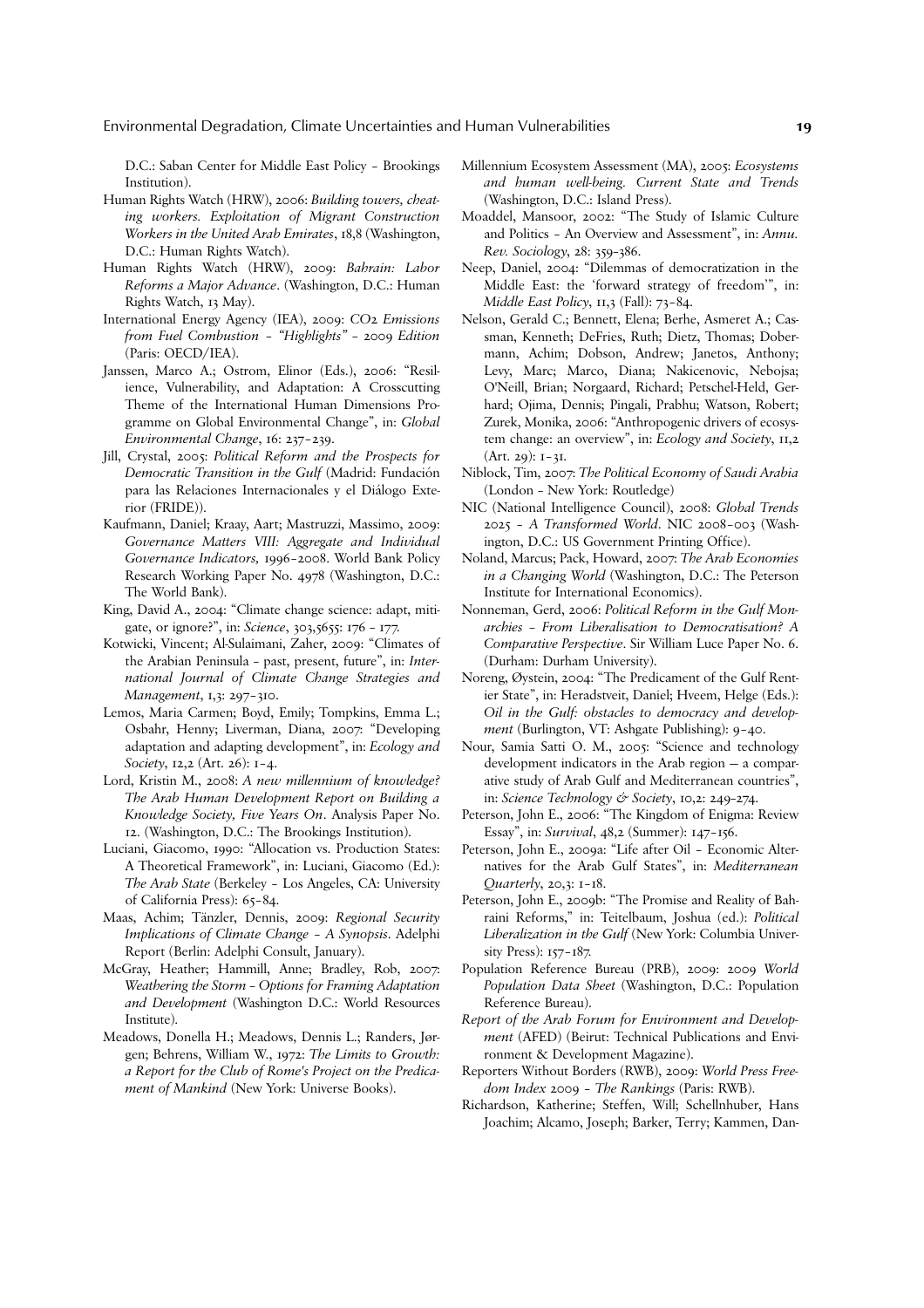D.C.: Saban Center for Middle East Policy – Brookings Institution).

- Human Rights Watch (HRW), 2006: *Building towers, cheating workers. Exploitation of Migrant Construction Workers in the United Arab Emirates*, 18,8 (Washington, D.C.: Human Rights Watch).
- Human Rights Watch (HRW), 2009: *Bahrain: Labor Reforms a Major Advance*. (Washington, D.C.: Human Rights Watch, 13 May).
- International Energy Agency (IEA), 2009: *CO*2 *Emissions from Fuel Combustion* – *"Highlights" –* 2009 *Edition* (Paris: OECD/IEA).
- Janssen, Marco A.; Ostrom, Elinor (Eds.), 2006: "Resilience, Vulnerability, and Adaptation: A Crosscutting Theme of the International Human Dimensions Programme on Global Environmental Change", in: *Global Environmental Change*, 16: 237 – 239.
- Jill, Crystal, 2005: *Political Reform and the Prospects for Democratic Transition in the Gulf* (Madrid: Fundación para las Relaciones Internacionales y el Diálogo Exterior (FRIDE)).
- Kaufmann, Daniel; Kraay, Aart; Mastruzzi, Massimo, 2009: *Governance Matters VIII: Aggregate and Individual Governance Indicators,* 1996 – 2008. World Bank Policy Research Working Paper No. 4978 (Washington, D.C.: The World Bank).
- King, David A., 2004: "Climate change science: adapt, mitigate, or ignore?", in: *Science*, 303,5655: 176 – 177.
- Kotwicki, Vincent; Al-Sulaimani, Zaher, 2009: "Climates of the Arabian Peninsula – past, present, future", in: *International Journal of Climate Change Strategies and Management*, 1,3: 297-310.
- Lemos, Maria Carmen; Boyd, Emily; Tompkins, Emma L.; Osbahr, Henny; Liverman, Diana, 2007: "Developing adaptation and adapting development", in: *Ecology and Society*, 12,2 (Art. 26): 1-4.
- Lord, Kristin M., 2008: *A new millennium of knowledge? The Arab Human Development Report on Building a Knowledge Society, Five Years On*. Analysis Paper No. 12. (Washington, D.C.: The Brookings Institution).
- Luciani, Giacomo, 1990: "Allocation vs. Production States: A Theoretical Framework", in: Luciani, Giacomo (Ed.): *The Arab State* (Berkeley – Los Angeles, CA: University of California Press): 65 – 84.
- Maas, Achim; Tänzler, Dennis, 2009: *Regional Security Implications of Climate Change* – *A Synopsis*. Adelphi Report (Berlin: Adelphi Consult, January).
- McGray, Heather; Hammill, Anne; Bradley, Rob, 2007: *Weathering the Storm – Options for Framing Adaptation and Development* (Washington D.C.: World Resources Institute).
- Meadows, Donella H.; Meadows, Dennis L.; Randers, Jørgen; Behrens, William W., 1972: *The Limits to Growth: a Report for the Club of Rome's Project on the Predicament of Mankind* (New York: Universe Books).
- Millennium Ecosystem Assessment (MA), 2005: *Ecosystems and human well-being. Current State and Trends* (Washington, D.C.: Island Press).
- Moaddel, Mansoor, 2002: "The Study of Islamic Culture and Politics – An Overview and Assessment", in: *Annu. Rev. Sociology*, 28: 359–386.
- Neep, Daniel, 2004: "Dilemmas of democratization in the Middle East: the 'forward strategy of freedom'", in: *Middle East Policy*, 11,3 (Fall): 73 – 84.
- Nelson, Gerald C.; Bennett, Elena; Berhe, Asmeret A.; Cassman, Kenneth; DeFries, Ruth; Dietz, Thomas; Dobermann, Achim; Dobson, Andrew; Janetos, Anthony; Levy, Marc; Marco, Diana; Nakicenovic, Nebojsa; O'Neill, Brian; Norgaard, Richard; Petschel-Held, Gerhard; Ojima, Dennis; Pingali, Prabhu; Watson, Robert; Zurek, Monika, 2006: "Anthropogenic drivers of ecosystem change: an overview", in: *Ecology and Society*, 11,2  $(Art. 29): I-3I.$
- Niblock, Tim, 2007: *The Political Economy of Saudi Arabia* (London – New York: Routledge)
- NIC (National Intelligence Council), 2008: *Global Trends*  2025 – *A Transformed World*. NIC 2008 – 003 (Washington, D.C.: US Government Printing Office).
- Noland, Marcus; Pack, Howard, 2007: *The Arab Economies in a Changing World* (Washington, D.C.: The Peterson Institute for International Economics).
- Nonneman, Gerd, 2006: *Political Reform in the Gulf Monarchies – From Liberalisation to Democratisation? A Comparative Perspective*. Sir William Luce Paper No. 6. (Durham: Durham University).
- Noreng, Øystein, 2004: "The Predicament of the Gulf Rentier State", in: Heradstveit, Daniel; Hveem, Helge (Eds.): *Oil in the Gulf: obstacles to democracy and development* (Burlington, VT: Ashgate Publishing): 9 – 40.
- Nour, Samia Satti O. M., 2005: "Science and technology development indicators in the Arab region — a comparative study of Arab Gulf and Mediterranean countries", in: *Science Technology & Society*, 10,2: 249–274.
- Peterson, John E., 2006: "The Kingdom of Enigma: Review Essay", in: *Survival*, 48,2 (Summer): 147 – 156.
- Peterson, John E., 2009a: "Life after Oil Economic Alternatives for the Arab Gulf States", in: *Mediterranean Quarterly*, 20,3: 1-18.
- Peterson, John E., 2009b: "The Promise and Reality of Bahraini Reforms," in: Teitelbaum, Joshua (ed.): *Political Liberalization in the Gulf* (New York: Columbia University Press): 157 – 187.
- Population Reference Bureau (PRB), 2009: 2009 *World Population Data Sheet* (Washington, D.C.: Population Reference Bureau).
- *Report of the Arab Forum for Environment and Development* (AFED) (Beirut: Technical Publications and Environment & Development Magazine).
- Reporters Without Borders (RWB), 2009: *World Press Freedom Index* 2009 – *The Rankings* (Paris: RWB).
- Richardson, Katherine; Steffen, Will; Schellnhuber, Hans Joachim; Alcamo, Joseph; Barker, Terry; Kammen, Dan-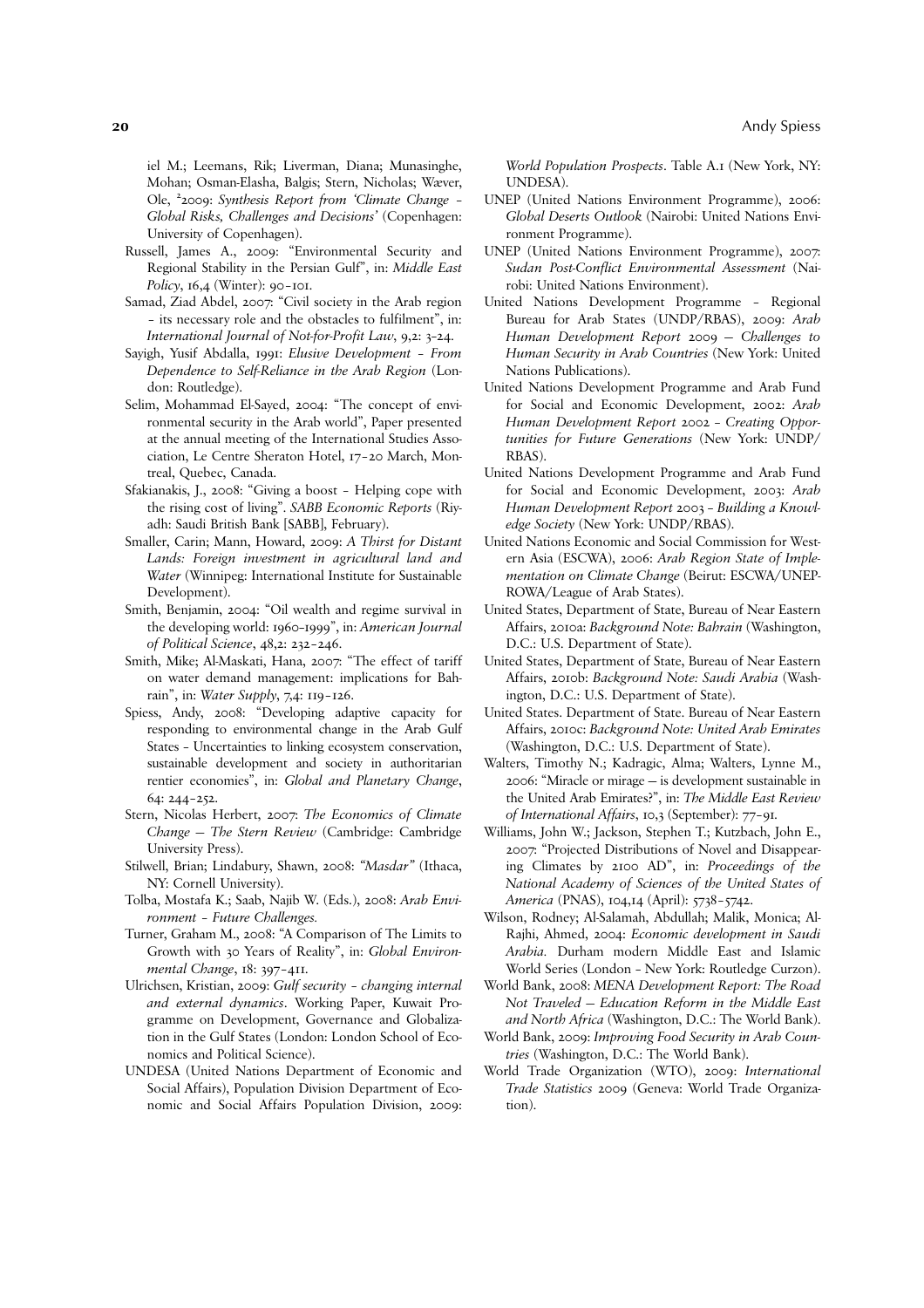iel M.; Leemans, Rik; Liverman, Diana; Munasinghe, Mohan; Osman-Elasha, Balgis; Stern, Nicholas; Wæver, Ole, <sup>2</sup> 2009: *Synthesis Report from 'Climate Change* – *Global Risks, Challenges and Decisions'* (Copenhagen: University of Copenhagen).

- Russell, James A., 2009: "Environmental Security and Regional Stability in the Persian Gulf", in: *Middle East Policy*, 16,4 (Winter): 90-101.
- Samad, Ziad Abdel, 2007: "Civil society in the Arab region – its necessary role and the obstacles to fulfilment", in: *International Journal of Not-for-Profit Law*, 9,2: 3–24.
- Sayigh, Yusif Abdalla, 1991: *Elusive Development From Dependence to Self-Reliance in the Arab Region* (London: Routledge).
- Selim, Mohammad El-Sayed, 2004: "The concept of environmental security in the Arab world", Paper presented at the annual meeting of the International Studies Association, Le Centre Sheraton Hotel, 17 – 20 March, Montreal, Quebec, Canada.
- Sfakianakis, J., 2008: "Giving a boost Helping cope with the rising cost of living". *SABB Economic Reports* (Riyadh: Saudi British Bank [SABB], February).
- Smaller, Carin; Mann, Howard, 2009: *A Thirst for Distant Lands: Foreign investment in agricultural land and Water* (Winnipeg: International Institute for Sustainable Development).
- Smith, Benjamin, 2004: "Oil wealth and regime survival in the developing world: 1960–1999", in: *American Journal of Political Science*, 48,2: 232 – 246.
- Smith, Mike; Al-Maskati, Hana, 2007: "The effect of tariff on water demand management: implications for Bahrain", in: *Water Supply*, 7,4: 119 – 126.
- Spiess, Andy, 2008: "Developing adaptive capacity for responding to environmental change in the Arab Gulf States – Uncertainties to linking ecosystem conservation, sustainable development and society in authoritarian rentier economies", in: *Global and Planetary Change*, 64: 244 – 252.
- Stern, Nicolas Herbert, 2007: *The Economics of Climate Change — The Stern Review* (Cambridge: Cambridge University Press).
- Stilwell, Brian; Lindabury, Shawn, 2008: *"Masdar"* (Ithaca, NY: Cornell University).
- Tolba, Mostafa K.; Saab, Najib W. (Eds.), 2008: *Arab Environment* – *Future Challenges.*
- Turner, Graham M., 2008: "A Comparison of The Limits to Growth with 30 Years of Reality", in: *Global Environmental Change*, 18: 397 – 411.
- Ulrichsen, Kristian, 2009: *Gulf security changing internal and external dynamics*. Working Paper, Kuwait Programme on Development, Governance and Globalization in the Gulf States (London: London School of Economics and Political Science).
- UNDESA (United Nations Department of Economic and Social Affairs), Population Division Department of Economic and Social Affairs Population Division, 2009:

*World Population Prospects*. Table A.1 (New York, NY: UNDESA).

- UNEP (United Nations Environment Programme), 2006: *Global Deserts Outlook* (Nairobi: United Nations Environment Programme).
- UNEP (United Nations Environment Programme), 2007: *Sudan Post-Conflict Environmental Assessment* (Nairobi: United Nations Environment).
- United Nations Development Programme Regional Bureau for Arab States (UNDP/RBAS), 2009: *Arab Human Development Report* 2009 *— Challenges to Human Security in Arab Countries* (New York: United Nations Publications).
- United Nations Development Programme and Arab Fund for Social and Economic Development, 2002: *Arab Human Development Report* 2002 *– Creating Opportunities for Future Generations* (New York: UNDP/ RBAS).
- United Nations Development Programme and Arab Fund for Social and Economic Development, 2003: *Arab Human Development Report* 2003 *– Building a Knowledge Society* (New York: UNDP/RBAS).
- United Nations Economic and Social Commission for Western Asia (ESCWA), 2006: *Arab Region State of Implementation on Climate Change* (Beirut: ESCWA/UNEP-ROWA/League of Arab States).
- United States, Department of State, Bureau of Near Eastern Affairs, 2010a: *Background Note: Bahrain* (Washington, D.C.: U.S. Department of State).
- United States, Department of State, Bureau of Near Eastern Affairs, 2010b: *Background Note: Saudi Arabia* (Washington, D.C.: U.S. Department of State).
- United States. Department of State. Bureau of Near Eastern Affairs, 2010c: *Background Note: United Arab Emirates* (Washington, D.C.: U.S. Department of State).
- Walters, Timothy N.; Kadragic, Alma; Walters, Lynne M., 2006: "Miracle or mirage — is development sustainable in the United Arab Emirates?", in: *The Middle East Review of International Affairs*, 10,3 (September): 77 – 91.
- Williams, John W.; Jackson, Stephen T.; Kutzbach, John E., 2007: "Projected Distributions of Novel and Disappearing Climates by 2100 AD", in: *Proceedings of the National Academy of Sciences of the United States of America* (PNAS), 104,14 (April): 5738 – 5742.
- Wilson, Rodney; Al-Salamah, Abdullah; Malik, Monica; Al-Rajhi, Ahmed, 2004: *Economic development in Saudi Arabia.* Durham modern Middle East and Islamic World Series (London – New York: Routledge Curzon).
- World Bank, 2008: *MENA Development Report: The Road Not Traveled — Education Reform in the Middle East and North Africa* (Washington, D.C.: The World Bank).
- World Bank, 2009: *Improving Food Security in Arab Countries* (Washington, D.C.: The World Bank).
- World Trade Organization (WTO), 2009: *International Trade Statistics* 2009 (Geneva: World Trade Organization).